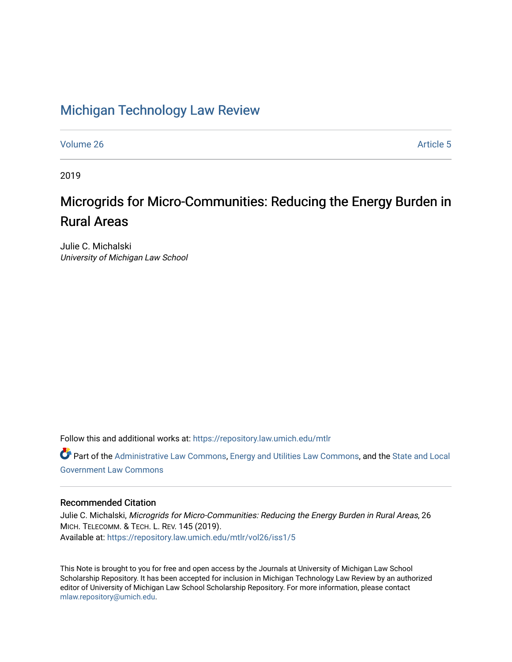# [Michigan Technology Law Review](https://repository.law.umich.edu/mtlr)

[Volume 26](https://repository.law.umich.edu/mtlr/vol26) Article 5

2019

# Microgrids for Micro-Communities: Reducing the Energy Burden in Rural Areas

Julie C. Michalski University of Michigan Law School

Follow this and additional works at: [https://repository.law.umich.edu/mtlr](https://repository.law.umich.edu/mtlr?utm_source=repository.law.umich.edu%2Fmtlr%2Fvol26%2Fiss1%2F5&utm_medium=PDF&utm_campaign=PDFCoverPages) 

Part of the [Administrative Law Commons,](http://network.bepress.com/hgg/discipline/579?utm_source=repository.law.umich.edu%2Fmtlr%2Fvol26%2Fiss1%2F5&utm_medium=PDF&utm_campaign=PDFCoverPages) [Energy and Utilities Law Commons](http://network.bepress.com/hgg/discipline/891?utm_source=repository.law.umich.edu%2Fmtlr%2Fvol26%2Fiss1%2F5&utm_medium=PDF&utm_campaign=PDFCoverPages), and the [State and Local](http://network.bepress.com/hgg/discipline/879?utm_source=repository.law.umich.edu%2Fmtlr%2Fvol26%2Fiss1%2F5&utm_medium=PDF&utm_campaign=PDFCoverPages) [Government Law Commons](http://network.bepress.com/hgg/discipline/879?utm_source=repository.law.umich.edu%2Fmtlr%2Fvol26%2Fiss1%2F5&utm_medium=PDF&utm_campaign=PDFCoverPages) 

# Recommended Citation

Julie C. Michalski, Microgrids for Micro-Communities: Reducing the Energy Burden in Rural Areas, 26 MICH. TELECOMM. & TECH. L. REV. 145 (2019). Available at: [https://repository.law.umich.edu/mtlr/vol26/iss1/5](https://repository.law.umich.edu/mtlr/vol26/iss1/5?utm_source=repository.law.umich.edu%2Fmtlr%2Fvol26%2Fiss1%2F5&utm_medium=PDF&utm_campaign=PDFCoverPages) 

This Note is brought to you for free and open access by the Journals at University of Michigan Law School Scholarship Repository. It has been accepted for inclusion in Michigan Technology Law Review by an authorized editor of University of Michigan Law School Scholarship Repository. For more information, please contact [mlaw.repository@umich.edu.](mailto:mlaw.repository@umich.edu)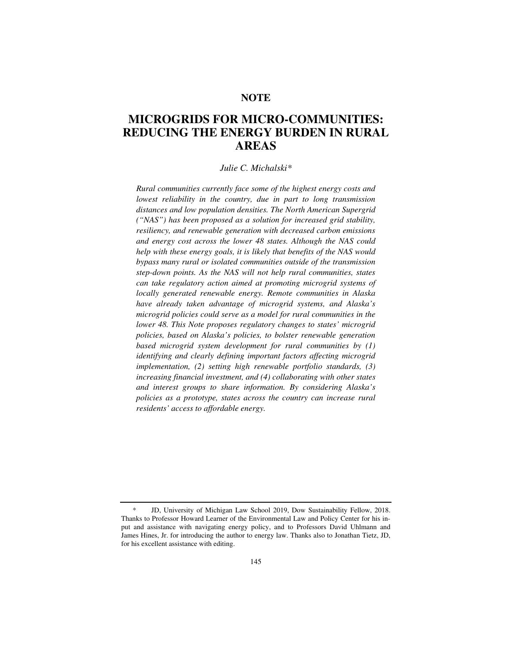# **NOTE**

# **MICROGRIDS FOR MICRO-COMMUNITIES: REDUCING THE ENERGY BURDEN IN RURAL AREAS**

#### *Julie C. Michalski\**

*Rural communities currently face some of the highest energy costs and lowest reliability in the country, due in part to long transmission distances and low population densities. The North American Supergrid ("NAS") has been proposed as a solution for increased grid stability, resiliency, and renewable generation with decreased carbon emissions and energy cost across the lower 48 states. Although the NAS could help with these energy goals, it is likely that benefits of the NAS would bypass many rural or isolated communities outside of the transmission step-down points. As the NAS will not help rural communities, states can take regulatory action aimed at promoting microgrid systems of locally generated renewable energy. Remote communities in Alaska have already taken advantage of microgrid systems, and Alaska's microgrid policies could serve as a model for rural communities in the lower 48. This Note proposes regulatory changes to states' microgrid policies, based on Alaska's policies, to bolster renewable generation based microgrid system development for rural communities by (1) identifying and clearly defining important factors affecting microgrid implementation, (2) setting high renewable portfolio standards, (3) increasing financial investment, and (4) collaborating with other states and interest groups to share information. By considering Alaska's policies as a prototype, states across the country can increase rural residents' access to affordable energy.* 

 <sup>\*</sup> JD, University of Michigan Law School 2019, Dow Sustainability Fellow, 2018. Thanks to Professor Howard Learner of the Environmental Law and Policy Center for his input and assistance with navigating energy policy, and to Professors David Uhlmann and James Hines, Jr. for introducing the author to energy law. Thanks also to Jonathan Tietz, JD, for his excellent assistance with editing.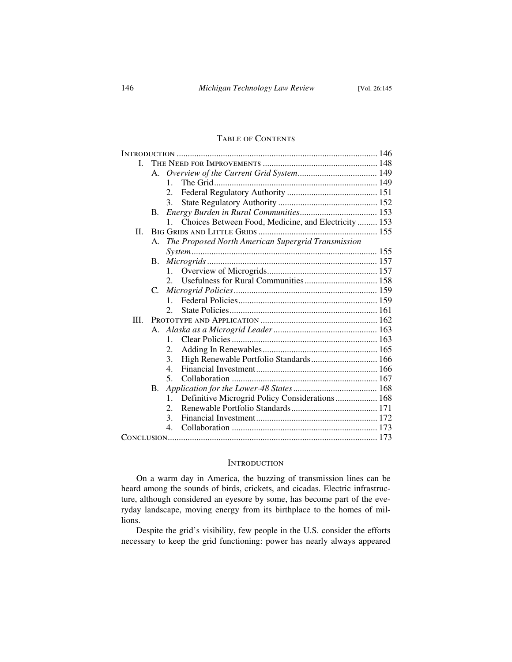# Table of Contents

| L    |    |                                                                      |  |
|------|----|----------------------------------------------------------------------|--|
|      | A. |                                                                      |  |
|      |    | $1_{-}$                                                              |  |
|      |    | 2.                                                                   |  |
|      |    | 3.                                                                   |  |
|      | B. |                                                                      |  |
|      |    | Choices Between Food, Medicine, and Electricity  153<br>$\mathbf{1}$ |  |
| II.  |    |                                                                      |  |
|      | А. | The Proposed North American Supergrid Transmission                   |  |
|      |    |                                                                      |  |
|      | B. |                                                                      |  |
|      |    | 1.                                                                   |  |
|      |    | $2^{2}$                                                              |  |
|      | C. |                                                                      |  |
|      |    | $1_{-}$                                                              |  |
|      |    | $\mathcal{D}_{\mathcal{L}}$                                          |  |
| III. |    |                                                                      |  |
|      |    |                                                                      |  |
|      |    | $1_{-}$                                                              |  |
|      |    | 2.                                                                   |  |
|      |    | High Renewable Portfolio Standards 166<br>3.                         |  |
|      |    | 4.                                                                   |  |
|      |    | 5.                                                                   |  |
|      | B. |                                                                      |  |
|      |    | Definitive Microgrid Policy Considerations 168<br>1.                 |  |
|      |    | 2.                                                                   |  |
|      |    | 3.                                                                   |  |
|      |    | $4_{\cdot}$                                                          |  |
|      |    |                                                                      |  |

#### **INTRODUCTION**

On a warm day in America, the buzzing of transmission lines can be heard among the sounds of birds, crickets, and cicadas. Electric infrastructure, although considered an eyesore by some, has become part of the everyday landscape, moving energy from its birthplace to the homes of millions.

Despite the grid's visibility, few people in the U.S. consider the efforts necessary to keep the grid functioning: power has nearly always appeared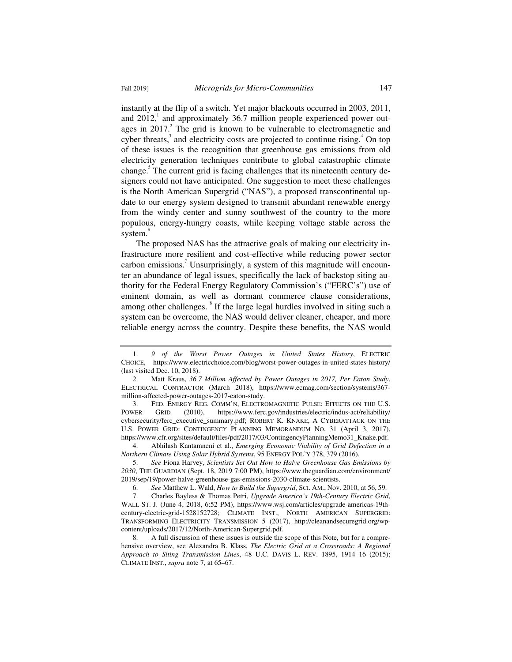instantly at the flip of a switch. Yet major blackouts occurred in 2003, 2011, and  $2012$ , and approximately 36.7 million people experienced power outages in 2017.<sup>2</sup> The grid is known to be vulnerable to electromagnetic and cyber threats, $3$  and electricity costs are projected to continue rising. $4$  On top of these issues is the recognition that greenhouse gas emissions from old electricity generation techniques contribute to global catastrophic climate change.<sup>5</sup> The current grid is facing challenges that its nineteenth century designers could not have anticipated. One suggestion to meet these challenges is the North American Supergrid ("NAS"), a proposed transcontinental update to our energy system designed to transmit abundant renewable energy from the windy center and sunny southwest of the country to the more populous, energy-hungry coasts, while keeping voltage stable across the system.<sup>6</sup>

The proposed NAS has the attractive goals of making our electricity infrastructure more resilient and cost-effective while reducing power sector carbon emissions.<sup>7</sup> Unsurprisingly, a system of this magnitude will encounter an abundance of legal issues, specifically the lack of backstop siting authority for the Federal Energy Regulatory Commission's ("FERC's") use of eminent domain, as well as dormant commerce clause considerations, among other challenges. <sup>8</sup> If the large legal hurdles involved in siting such a system can be overcome, the NAS would deliver cleaner, cheaper, and more reliable energy across the country. Despite these benefits, the NAS would

 3. FED. ENERGY REG. COMM'N, ELECTROMAGNETIC PULSE: EFFECTS ON THE U.S. POWER GRID (2010), https://www.ferc.gov/industries/electric/indus-act/reliability/ cybersecurity/ferc\_executive\_summary.pdf; ROBERT K. KNAKE, A CYBERATTACK ON THE U.S. POWER GRID: CONTINGENCY PLANNING MEMORANDUM NO. 31 (April 3, 2017), https://www.cfr.org/sites/default/files/pdf/2017/03/ContingencyPlanningMemo31\_Knake.pdf.

 4. Abhilash Kantamneni et al., *Emerging Economic Viability of Grid Defection in a Northern Climate Using Solar Hybrid Systems*, 95 ENERGY POL'Y 378, 379 (2016).

 5. *See* Fiona Harvey, *Scientists Set Out How to Halve Greenhouse Gas Emissions by 2030*, THE GUARDIAN (Sept. 18, 2019 7:00 PM), https://www.theguardian.com/environment/ 2019/sep/19/power-halve-greenhouse-gas-emissions-2030-climate-scientists.

6. *See* Matthew L. Wald, *How to Build the Supergrid*, SCI. AM., Nov. 2010, at 56, 59.

 7. Charles Bayless & Thomas Petri, *Upgrade America's 19th-Century Electric Grid*, WALL ST. J. (June 4, 2018, 6:52 PM), https://www.wsj.com/articles/upgrade-americas-19thcentury-electric-grid-1528152728; CLIMATE INST., NORTH AMERICAN SUPERGRID: TRANSFORMING ELECTRICITY TRANSMISSION 5 (2017), http://cleanandsecuregrid.org/wpcontent/uploads/2017/12/North-American-Supergrid.pdf.

 8. A full discussion of these issues is outside the scope of this Note, but for a comprehensive overview, see Alexandra B. Klass, *The Electric Grid at a Crossroads: A Regional Approach to Siting Transmission Lines*, 48 U.C. DAVIS L. REV. 1895, 1914–16 (2015); CLIMATE INST., *supra* note 7, at 65–67.

 <sup>1.</sup> *9 of the Worst Power Outages in United States History*, ELECTRIC CHOICE, https://www.electricchoice.com/blog/worst-power-outages-in-united-states-history/ (last visited Dec. 10, 2018).

 <sup>2.</sup> Matt Kraus, *36.7 Million Affected by Power Outages in 2017, Per Eaton Study*, ELECTRICAL CONTRACTOR (March 2018), https://www.ecmag.com/section/systems/367 million-affected-power-outages-2017-eaton-study.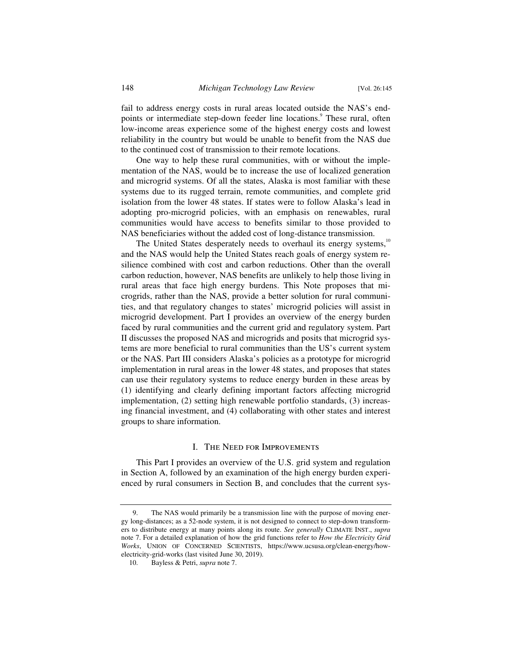fail to address energy costs in rural areas located outside the NAS's endpoints or intermediate step-down feeder line locations.<sup>9</sup> These rural, often low-income areas experience some of the highest energy costs and lowest reliability in the country but would be unable to benefit from the NAS due to the continued cost of transmission to their remote locations.

One way to help these rural communities, with or without the implementation of the NAS, would be to increase the use of localized generation and microgrid systems. Of all the states, Alaska is most familiar with these systems due to its rugged terrain, remote communities, and complete grid isolation from the lower 48 states. If states were to follow Alaska's lead in adopting pro-microgrid policies, with an emphasis on renewables, rural communities would have access to benefits similar to those provided to NAS beneficiaries without the added cost of long-distance transmission.

The United States desperately needs to overhaul its energy systems, $10$ and the NAS would help the United States reach goals of energy system resilience combined with cost and carbon reductions. Other than the overall carbon reduction, however, NAS benefits are unlikely to help those living in rural areas that face high energy burdens. This Note proposes that microgrids, rather than the NAS, provide a better solution for rural communities, and that regulatory changes to states' microgrid policies will assist in microgrid development. Part I provides an overview of the energy burden faced by rural communities and the current grid and regulatory system. Part II discusses the proposed NAS and microgrids and posits that microgrid systems are more beneficial to rural communities than the US's current system or the NAS. Part III considers Alaska's policies as a prototype for microgrid implementation in rural areas in the lower 48 states, and proposes that states can use their regulatory systems to reduce energy burden in these areas by (1) identifying and clearly defining important factors affecting microgrid implementation, (2) setting high renewable portfolio standards, (3) increasing financial investment, and (4) collaborating with other states and interest groups to share information.

#### I. The Need for Improvements

This Part I provides an overview of the U.S. grid system and regulation in Section A, followed by an examination of the high energy burden experienced by rural consumers in Section B, and concludes that the current sys-

 <sup>9.</sup> The NAS would primarily be a transmission line with the purpose of moving energy long-distances; as a 52-node system, it is not designed to connect to step-down transformers to distribute energy at many points along its route. *See generally* CLIMATE INST., *supra*  note 7. For a detailed explanation of how the grid functions refer to *How the Electricity Grid Works*, UNION OF CONCERNED SCIENTISTS, https://www.ucsusa.org/clean-energy/howelectricity-grid-works (last visited June 30, 2019).

 <sup>10.</sup> Bayless & Petri, *supra* note 7.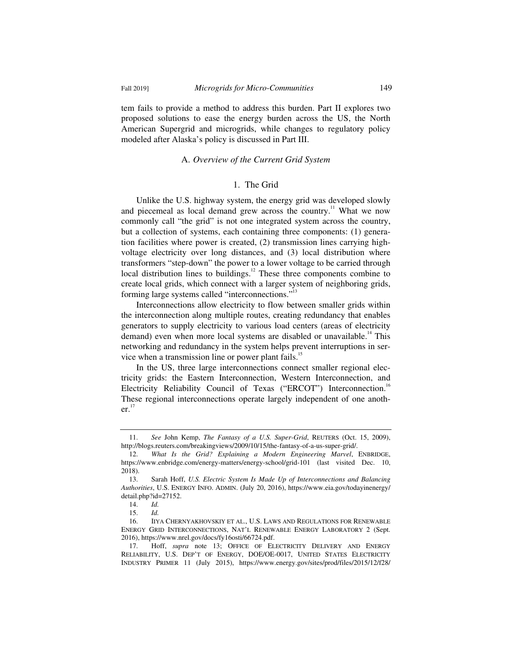tem fails to provide a method to address this burden. Part II explores two proposed solutions to ease the energy burden across the US, the North American Supergrid and microgrids, while changes to regulatory policy modeled after Alaska's policy is discussed in Part III.

# A. *Overview of the Current Grid System*

# 1. The Grid

Unlike the U.S. highway system, the energy grid was developed slowly and piecemeal as local demand grew across the country.<sup>11</sup> What we now commonly call "the grid" is not one integrated system across the country, but a collection of systems, each containing three components: (1) generation facilities where power is created, (2) transmission lines carrying highvoltage electricity over long distances, and (3) local distribution where transformers "step-down" the power to a lower voltage to be carried through local distribution lines to buildings.<sup>12</sup> These three components combine to create local grids, which connect with a larger system of neighboring grids, forming large systems called "interconnections."<sup>13</sup>

Interconnections allow electricity to flow between smaller grids within the interconnection along multiple routes, creating redundancy that enables generators to supply electricity to various load centers (areas of electricity demand) even when more local systems are disabled or unavailable.<sup>14</sup> This networking and redundancy in the system helps prevent interruptions in service when a transmission line or power plant fails.<sup>15</sup>

In the US, three large interconnections connect smaller regional electricity grids: the Eastern Interconnection, Western Interconnection, and Electricity Reliability Council of Texas ("ERCOT") Interconnection.<sup>16</sup> These regional interconnections operate largely independent of one another.<sup>17</sup>

 <sup>11.</sup> *See* John Kemp, *The Fantasy of a U.S. Super-Grid*, REUTERS (Oct. 15, 2009), http://blogs.reuters.com/breakingviews/2009/10/15/the-fantasy-of-a-us-super-grid/.

 <sup>12.</sup> *What Is the Grid? Explaining a Modern Engineering Marvel*, ENBRIDGE, https://www.enbridge.com/energy-matters/energy-school/grid-101 (last visited Dec. 10, 2018).

 <sup>13.</sup> Sarah Hoff, *U.S. Electric System Is Made Up of Interconnections and Balancing Authorities*, U.S. ENERGY INFO. ADMIN. (July 20, 2016), https://www.eia.gov/todayinenergy/ detail.php?id=27152.

 <sup>14.</sup> *Id.*

 <sup>15.</sup> *Id.*

 <sup>16.</sup> IIYA CHERNYAKHOVSKIY ET AL., U.S. LAWS AND REGULATIONS FOR RENEWABLE ENERGY GRID INTERCONNECTIONS, NAT'L RENEWABLE ENERGY LABORATORY 2 (Sept. 2016), https://www.nrel.gov/docs/fy16osti/66724.pdf.

 <sup>17.</sup> Hoff, *supra* note 13; OFFICE OF ELECTRICITY DELIVERY AND ENERGY RELIABILITY, U.S. DEP'T OF ENERGY, DOE/OE-0017, UNITED STATES ELECTRICITY INDUSTRY PRIMER 11 (July 2015), https://www.energy.gov/sites/prod/files/2015/12/f28/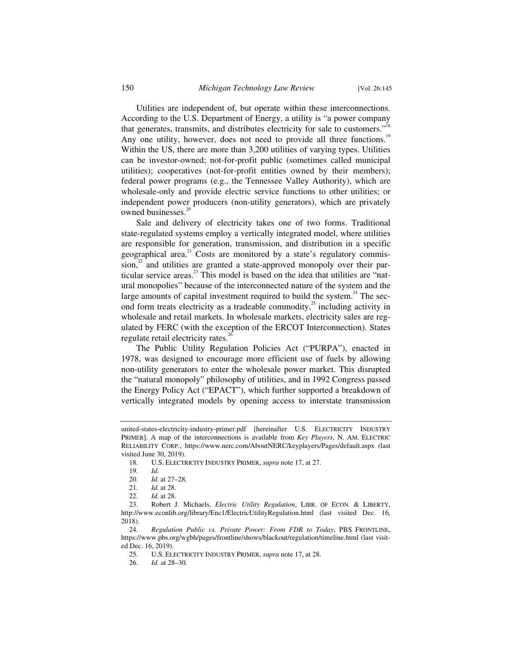Utilities are independent of, but operate within these interconnections. According to the U.S. Department of Energy, a utility is "a power company that generates, transmits, and distributes electricity for sale to customers."<sup>18</sup> Any one utility, however, does not need to provide all three functions.<sup>19</sup> Within the US, there are more than 3,200 utilities of varying types. Utilities can be investor-owned; not-for-profit public (sometimes called municipal utilities); cooperatives (not-for-profit entities owned by their members); federal power programs (e.g., the Tennessee Valley Authority), which are wholesale-only and provide electric service functions to other utilities; or independent power producers (non-utility generators), which are privately owned businesses.<sup>21</sup>

Sale and delivery of electricity takes one of two forms. Traditional state-regulated systems employ a vertically integrated model, where utilities are responsible for generation, transmission, and distribution in a specific geographical area. $^{21}$  Costs are monitored by a state's regulatory commis $sion$ <sup>22</sup> and utilities are granted a state-approved monopoly over their particular service areas.<sup>23</sup> This model is based on the idea that utilities are "natural monopolies" because of the interconnected nature of the system and the large amounts of capital investment required to build the system.<sup>24</sup> The second form treats electricity as a tradeable commodity, $^{25}$  including activity in wholesale and retail markets. In wholesale markets, electricity sales are regulated by FERC (with the exception of the ERCOT Interconnection). States regulate retail electricity rates.<sup>26</sup>

The Public Utility Regulation Policies Act ("PURPA"), enacted in 1978, was designed to encourage more efficient use of fuels by allowing non-utility generators to enter the wholesale power market. This disrupted the "natural monopoly" philosophy of utilities, and in 1992 Congress passed the Energy Policy Act ("EPACT"), which further supported a breakdown of vertically integrated models by opening access to interstate transmission

united-states-electricity-industry-primer.pdf [hereinafter U.S. ELECTRICITY INDUSTRY PRIMER]. A map of the interconnections is available from *Key Players*, N. AM. ELECTRIC RELIABILITY CORP., https://www.nerc.com/AboutNERC/keyplayers/Pages/default.aspx (last visited June 30, 2019).

 <sup>18.</sup> U.S. ELECTRICITY INDUSTRY PRIMER, *supra* note 17, at 27.

 <sup>19.</sup> *Id.*

 <sup>20.</sup> *Id.* at 27–28.

 <sup>21.</sup> *Id.* at 28.

 <sup>22.</sup> *Id.* at 28.

<sup>23.</sup> Robert J. Michaels, *Electric Utility Regulation*, LIBR. OF ECON. & LIBERTY, http://www.econlib.org/library/Enc1/ElectricUtilityRegulation.html (last visited Dec. 16, 2018).

 <sup>24.</sup> *Regulation Public vs. Private Power: From FDR to Today*, PBS FRONTLINE, https://www.pbs.org/wgbh/pages/frontline/shows/blackout/regulation/timeline.html (last visited Dec. 16, 2019).

 <sup>25.</sup> U.S. ELECTRICITY INDUSTRY PRIMER, *supra* note 17, at 28.

 <sup>26.</sup> *Id.* at 28–30.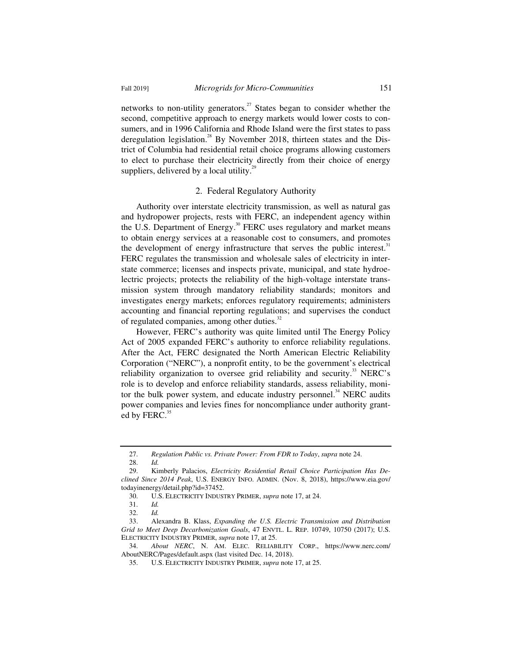networks to non-utility generators.<sup>27</sup> States began to consider whether the second, competitive approach to energy markets would lower costs to consumers, and in 1996 California and Rhode Island were the first states to pass deregulation legislation.<sup>28</sup> By November 2018, thirteen states and the District of Columbia had residential retail choice programs allowing customers to elect to purchase their electricity directly from their choice of energy suppliers, delivered by a local utility.<sup>29</sup>

#### 2. Federal Regulatory Authority

Authority over interstate electricity transmission, as well as natural gas and hydropower projects, rests with FERC, an independent agency within the U.S. Department of Energy.<sup>30</sup> FERC uses regulatory and market means to obtain energy services at a reasonable cost to consumers, and promotes the development of energy infrastructure that serves the public interest.<sup>31</sup> FERC regulates the transmission and wholesale sales of electricity in interstate commerce; licenses and inspects private, municipal, and state hydroelectric projects; protects the reliability of the high-voltage interstate transmission system through mandatory reliability standards; monitors and investigates energy markets; enforces regulatory requirements; administers accounting and financial reporting regulations; and supervises the conduct of regulated companies, among other duties.<sup>32</sup>

However, FERC's authority was quite limited until The Energy Policy Act of 2005 expanded FERC's authority to enforce reliability regulations. After the Act, FERC designated the North American Electric Reliability Corporation ("NERC"), a nonprofit entity, to be the government's electrical reliability organization to oversee grid reliability and security.<sup>33</sup> NERC's role is to develop and enforce reliability standards, assess reliability, monitor the bulk power system, and educate industry personnel.<sup>34</sup> NERC audits power companies and levies fines for noncompliance under authority granted by FERC.<sup>35</sup>

 <sup>27.</sup> *Regulation Public vs. Private Power: From FDR to Today*, *supra* note 24.

 <sup>28.</sup> *Id.*

 <sup>29.</sup> Kimberly Palacios, *Electricity Residential Retail Choice Participation Has Declined Since 2014 Peak*, U.S. ENERGY INFO. ADMIN. (Nov. 8, 2018), https://www.eia.gov/ todayinenergy/detail.php?id=37452.

 <sup>30.</sup> U.S. ELECTRICITY INDUSTRY PRIMER, *supra* note 17, at 24.

 <sup>31.</sup> *Id.*

 <sup>32.</sup> *Id.*

 <sup>33.</sup> Alexandra B. Klass, *Expanding the U.S. Electric Transmission and Distribution Grid to Meet Deep Decarbonization Goals*, 47 ENVTL. L. REP. 10749, 10750 (2017); U.S. ELECTRICITY INDUSTRY PRIMER, *supra* note 17, at 25.

 <sup>34.</sup> *About NERC*, N. AM. ELEC. RELIABILITY CORP., https://www.nerc.com/ AboutNERC/Pages/default.aspx (last visited Dec. 14, 2018).

 <sup>35.</sup> U.S. ELECTRICITY INDUSTRY PRIMER, *supra* note 17, at 25.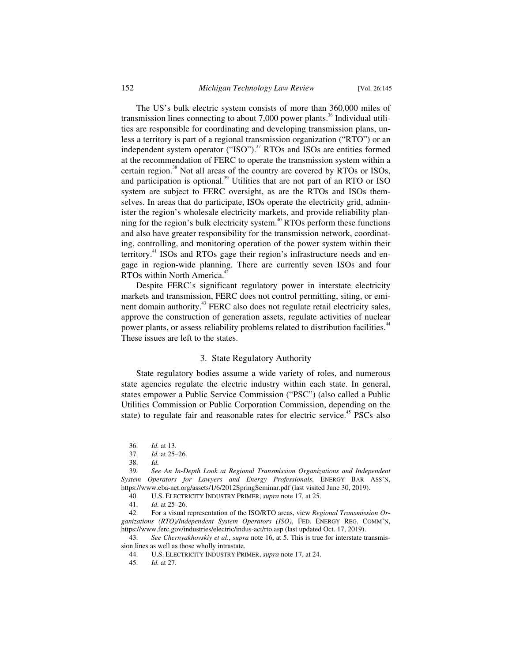The US's bulk electric system consists of more than 360,000 miles of transmission lines connecting to about 7,000 power plants.<sup>36</sup> Individual utilities are responsible for coordinating and developing transmission plans, unless a territory is part of a regional transmission organization ("RTO") or an independent system operator ("ISO").<sup>37</sup> RTOs and ISOs are entities formed at the recommendation of FERC to operate the transmission system within a certain region. $38$  Not all areas of the country are covered by RTOs or ISOs, and participation is optional.<sup>39</sup> Utilities that are not part of an RTO or ISO system are subject to FERC oversight, as are the RTOs and ISOs themselves. In areas that do participate, ISOs operate the electricity grid, administer the region's wholesale electricity markets, and provide reliability planning for the region's bulk electricity system.<sup>40</sup> RTOs perform these functions and also have greater responsibility for the transmission network, coordinating, controlling, and monitoring operation of the power system within their territory.<sup>41</sup> ISOs and RTOs gage their region's infrastructure needs and engage in region-wide planning. There are currently seven ISOs and four RTOs within North America.<sup>42</sup>

Despite FERC's significant regulatory power in interstate electricity markets and transmission, FERC does not control permitting, siting, or eminent domain authority.<sup>43</sup> FERC also does not regulate retail electricity sales, approve the construction of generation assets, regulate activities of nuclear power plants, or assess reliability problems related to distribution facilities.<sup>44</sup> These issues are left to the states.

# 3. State Regulatory Authority

State regulatory bodies assume a wide variety of roles, and numerous state agencies regulate the electric industry within each state. In general, states empower a Public Service Commission ("PSC") (also called a Public Utilities Commission or Public Corporation Commission, depending on the state) to regulate fair and reasonable rates for electric service.<sup>45</sup> PSCs also

 43. *See Chernyakhovskiy et al*., *supra* note 16, at 5. This is true for interstate transmission lines as well as those wholly intrastate.

 <sup>36.</sup> *Id.* at 13.

 <sup>37.</sup> *Id.* at 25–26.

 <sup>38.</sup> *Id.*

<sup>39</sup>*. See An In-Depth Look at Regional Transmission Organizations and Independent System Operators for Lawyers and Energy Professionals*, ENERGY BAR ASS'N, https://www.eba-net.org/assets/1/6/2012SpringSeminar.pdf (last visited June 30, 2019).

 <sup>40.</sup> U.S. ELECTRICITY INDUSTRY PRIMER, *supra* note 17, at 25.

 <sup>41.</sup> *Id.* at 25–26.

 <sup>42.</sup> For a visual representation of the ISO/RTO areas, view *Regional Transmission Organizations (RTO)/Independent System Operators (ISO)*, FED. ENERGY REG. COMM'N, https://www.ferc.gov/industries/electric/indus-act/rto.asp (last updated Oct. 17, 2019).

 <sup>44.</sup> U.S. ELECTRICITY INDUSTRY PRIMER, *supra* note 17, at 24.

 <sup>45.</sup> *Id.* at 27.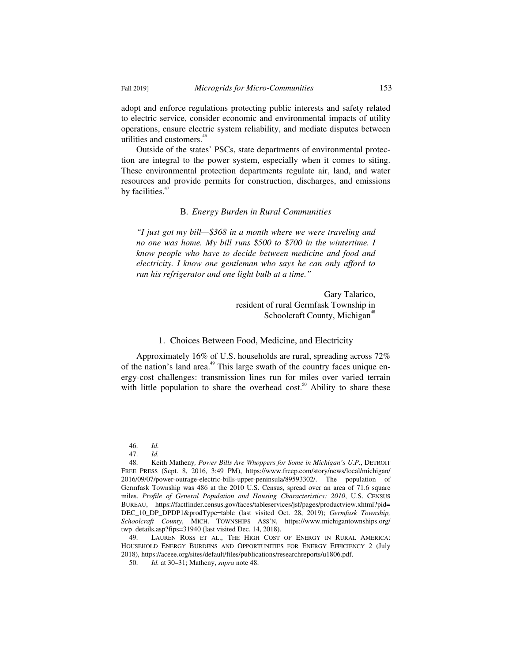adopt and enforce regulations protecting public interests and safety related to electric service, consider economic and environmental impacts of utility operations, ensure electric system reliability, and mediate disputes between utilities and customers.<sup>46</sup>

Outside of the states' PSCs, state departments of environmental protection are integral to the power system, especially when it comes to siting. These environmental protection departments regulate air, land, and water resources and provide permits for construction, discharges, and emissions by facilities. $47$ 

# B*. Energy Burden in Rural Communities*

*"I just got my bill—\$368 in a month where we were traveling and no one was home. My bill runs \$500 to \$700 in the wintertime. I know people who have to decide between medicine and food and electricity. I know one gentleman who says he can only afford to run his refrigerator and one light bulb at a time."* 

> —Gary Talarico, resident of rural Germfask Township in Schoolcraft County, Michigan<sup>48</sup>

#### 1. Choices Between Food, Medicine, and Electricity

Approximately 16% of U.S. households are rural, spreading across 72% of the nation's land area.<sup>49</sup> This large swath of the country faces unique energy-cost challenges: transmission lines run for miles over varied terrain with little population to share the overhead  $cost.^{50}$ . Ability to share these

 <sup>46.</sup> *Id.* 

 <sup>47.</sup> *Id.* 

 <sup>48.</sup> Keith Matheny*, Power Bills Are Whoppers for Some in Michigan's U.P.*, DETROIT FREE PRESS (Sept. 8, 2016, 3:49 PM), https://www.freep.com/story/news/local/michigan/ 2016/09/07/power-outrage-electric-bills-upper-peninsula/89593302/. The population of Germfask Township was 486 at the 2010 U.S. Census, spread over an area of 71.6 square miles. *Profile of General Population and Housing Characteristics: 2010*, U.S. CENSUS BUREAU, https://factfinder.census.gov/faces/tableservices/jsf/pages/productview.xhtml?pid= DEC\_10\_DP\_DPDP1&prodType=table (last visited Oct. 28, 2019); *Germfask Township, Schoolcraft County*, MICH. TOWNSHIPS ASS'N, https://www.michigantownships.org/ twp\_details.asp?fips=31940 (last visited Dec. 14, 2018).

 <sup>49.</sup> LAUREN ROSS ET AL., THE HIGH COST OF ENERGY IN RURAL AMERICA: HOUSEHOLD ENERGY BURDENS AND OPPORTUNITIES FOR ENERGY EFFICIENCY 2 (July 2018), https://aceee.org/sites/default/files/publications/researchreports/u1806.pdf.

 <sup>50.</sup> *Id.* at 30–31; Matheny, *supra* note 48.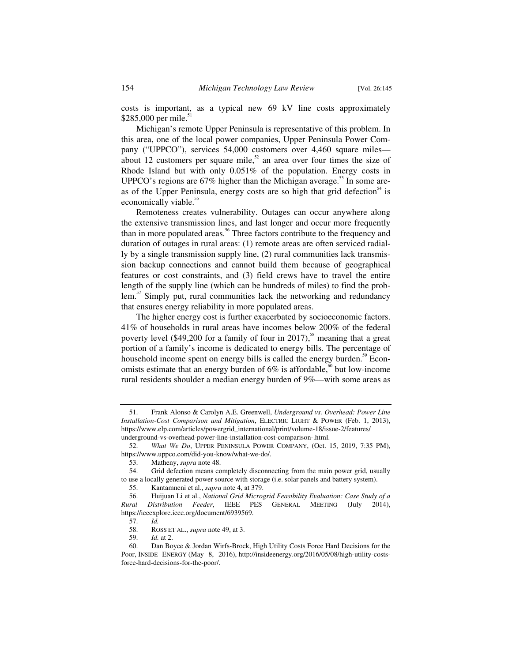costs is important, as a typical new 69 kV line costs approximately \$285,000 per mile.<sup>51</sup>

Michigan's remote Upper Peninsula is representative of this problem. In this area, one of the local power companies, Upper Peninsula Power Company ("UPPCO"), services 54,000 customers over 4,460 square miles about 12 customers per square mile,<sup>52</sup> an area over four times the size of Rhode Island but with only 0.051% of the population. Energy costs in UPPCO's regions are  $67\%$  higher than the Michigan average.<sup>53</sup> In some areas of the Upper Peninsula, energy costs are so high that grid defection<sup>34</sup> is economically viable.<sup>55</sup>

Remoteness creates vulnerability. Outages can occur anywhere along the extensive transmission lines, and last longer and occur more frequently than in more populated areas.<sup>56</sup> Three factors contribute to the frequency and duration of outages in rural areas: (1) remote areas are often serviced radially by a single transmission supply line, (2) rural communities lack transmission backup connections and cannot build them because of geographical features or cost constraints, and (3) field crews have to travel the entire length of the supply line (which can be hundreds of miles) to find the problem. $57$  Simply put, rural communities lack the networking and redundancy that ensures energy reliability in more populated areas.

The higher energy cost is further exacerbated by socioeconomic factors. 41% of households in rural areas have incomes below 200% of the federal poverty level (\$49,200 for a family of four in 2017),<sup>58</sup> meaning that a great portion of a family's income is dedicated to energy bills. The percentage of household income spent on energy bills is called the energy burden.<sup>59</sup> Economists estimate that an energy burden of  $6\%$  is affordable,<sup>60</sup> but low-income rural residents shoulder a median energy burden of 9%—with some areas as

 <sup>51.</sup> Frank Alonso & Carolyn A.E. Greenwell, *Underground vs. Overhead: Power Line Installation-Cost Comparison and Mitigation*, ELECTRIC LIGHT & POWER (Feb. 1, 2013), https://www.elp.com/articles/powergrid\_international/print/volume-18/issue-2/features/ underground-vs-overhead-power-line-installation-cost-comparison-.html.

 <sup>52.</sup> *What We Do*, UPPER PENINSULA POWER COMPANY, (Oct. 15, 2019, 7:35 PM), https://www.uppco.com/did-you-know/what-we-do/.

 <sup>53.</sup> Matheny, *supra* note 48.

 <sup>54.</sup> Grid defection means completely disconnecting from the main power grid, usually to use a locally generated power source with storage (i.e. solar panels and battery system).

 <sup>55.</sup> Kantamneni et al., *supra* note 4, at 379.

 <sup>56.</sup> Huijuan Li et al., *National Grid Microgrid Feasibility Evaluation: Case Study of a Rural Distribution Feeder*, IEEE PES GENERAL MEETING (July 2014), https://ieeexplore.ieee.org/document/6939569.

 <sup>57.</sup> *Id.*

 <sup>58.</sup> ROSS ET AL., *supra* note 49, at 3.

 <sup>59.</sup> *Id.* at 2.

 <sup>60.</sup> Dan Boyce & Jordan Wirfs-Brock, High Utility Costs Force Hard Decisions for the Poor, INSIDE ENERGY (May 8, 2016), http://insideenergy.org/2016/05/08/high-utility-costsforce-hard-decisions-for-the-poor/.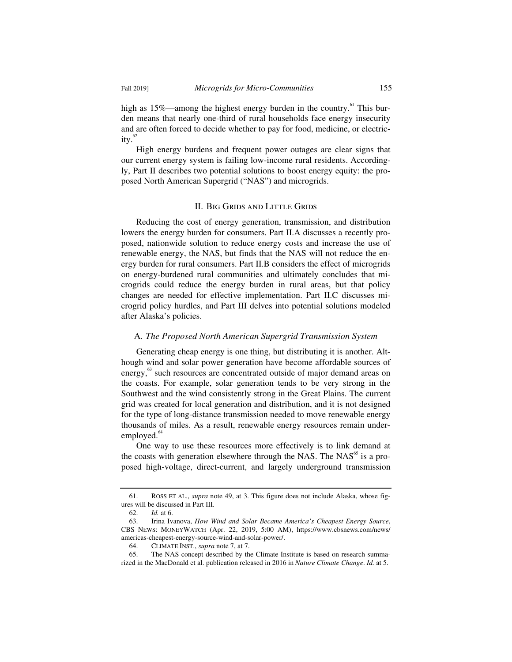high as  $15\%$ —among the highest energy burden in the country.<sup>61</sup> This burden means that nearly one-third of rural households face energy insecurity and are often forced to decide whether to pay for food, medicine, or electric- $\text{itv.}^{\frac{62}{5}}$ 

High energy burdens and frequent power outages are clear signs that our current energy system is failing low-income rural residents. Accordingly, Part II describes two potential solutions to boost energy equity: the proposed North American Supergrid ("NAS") and microgrids.

#### II. Big Grids and Little Grids

Reducing the cost of energy generation, transmission, and distribution lowers the energy burden for consumers. Part II.A discusses a recently proposed, nationwide solution to reduce energy costs and increase the use of renewable energy, the NAS, but finds that the NAS will not reduce the energy burden for rural consumers. Part II.B considers the effect of microgrids on energy-burdened rural communities and ultimately concludes that microgrids could reduce the energy burden in rural areas, but that policy changes are needed for effective implementation. Part II.C discusses microgrid policy hurdles, and Part III delves into potential solutions modeled after Alaska's policies.

#### A*. The Proposed North American Supergrid Transmission System*

Generating cheap energy is one thing, but distributing it is another. Although wind and solar power generation have become affordable sources of energy,<sup>63</sup> such resources are concentrated outside of major demand areas on the coasts. For example, solar generation tends to be very strong in the Southwest and the wind consistently strong in the Great Plains. The current grid was created for local generation and distribution, and it is not designed for the type of long-distance transmission needed to move renewable energy thousands of miles. As a result, renewable energy resources remain underemployed. $64$ 

One way to use these resources more effectively is to link demand at the coasts with generation elsewhere through the NAS. The  $NAS<sup>65</sup>$  is a proposed high-voltage, direct-current, and largely underground transmission

 <sup>61.</sup> ROSS ET AL., *supra* note 49, at 3. This figure does not include Alaska, whose figures will be discussed in Part III.

 <sup>62.</sup> *Id.* at 6.

 <sup>63.</sup> Irina Ivanova, *How Wind and Solar Became America's Cheapest Energy Source*, CBS NEWS: MONEYWATCH (Apr. 22, 2019, 5:00 AM), https://www.cbsnews.com/news/ americas-cheapest-energy-source-wind-and-solar-power/.

 <sup>64.</sup> CLIMATE INST., *supra* note 7, at 7.

 <sup>65.</sup> The NAS concept described by the Climate Institute is based on research summarized in the MacDonald et al. publication released in 2016 in *Nature Climate Change*. *Id.* at 5.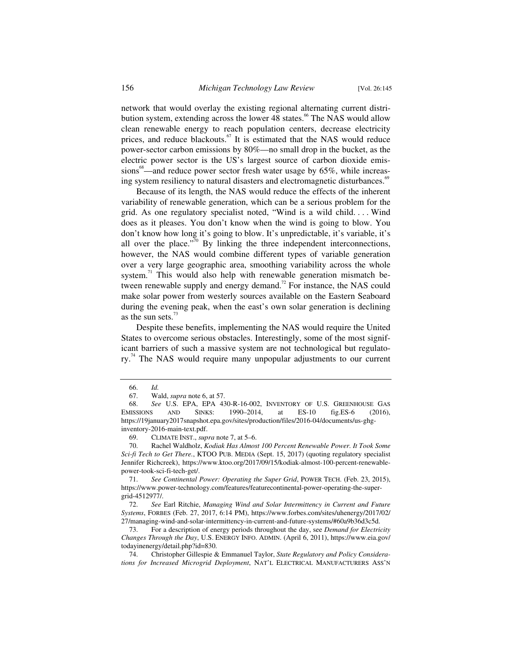network that would overlay the existing regional alternating current distribution system, extending across the lower 48 states.<sup>66</sup> The NAS would allow clean renewable energy to reach population centers, decrease electricity prices, and reduce blackouts.<sup>67</sup> It is estimated that the NAS would reduce power-sector carbon emissions by 80%—no small drop in the bucket, as the electric power sector is the US's largest source of carbon dioxide emissions<sup>68</sup>—and reduce power sector fresh water usage by  $65\%$ , while increasing system resiliency to natural disasters and electromagnetic disturbances.<sup>69</sup>

Because of its length, the NAS would reduce the effects of the inherent variability of renewable generation, which can be a serious problem for the grid. As one regulatory specialist noted, "Wind is a wild child. . . . Wind does as it pleases. You don't know when the wind is going to blow. You don't know how long it's going to blow. It's unpredictable, it's variable, it's all over the place."<sup>70</sup> By linking the three independent interconnections, however, the NAS would combine different types of variable generation over a very large geographic area, smoothing variability across the whole system. $11$  This would also help with renewable generation mismatch between renewable supply and energy demand.<sup>72</sup> For instance, the NAS could make solar power from westerly sources available on the Eastern Seaboard during the evening peak, when the east's own solar generation is declining as the sun sets. $73$ 

Despite these benefits, implementing the NAS would require the United States to overcome serious obstacles. Interestingly, some of the most significant barriers of such a massive system are not technological but regulatory.<sup>74</sup> The NAS would require many unpopular adjustments to our current

 <sup>66.</sup> *Id.*

 <sup>67.</sup> Wald, *supra* note 6, at 57.

 <sup>68.</sup> *See* U.S. EPA, EPA 430-R-16-002, INVENTORY OF U.S. GREENHOUSE GAS EMISSIONS AND SINKS: 1990–2014, at ES-10 fig.ES-6 (2016), https://19january2017snapshot.epa.gov/sites/production/files/2016-04/documents/us-ghginventory-2016-main-text.pdf.

 <sup>69.</sup> CLIMATE INST., *supra* note 7, at 5–6.

 <sup>70.</sup> Rachel Waldholz, *Kodiak Has Almost 100 Percent Renewable Power. It Took Some Sci-fi Tech to Get There.*, KTOO PUB. MEDIA (Sept. 15, 2017) (quoting regulatory specialist Jennifer Richcreek), https://www.ktoo.org/2017/09/15/kodiak-almost-100-percent-renewablepower-took-sci-fi-tech-get/.

 <sup>71.</sup> *See Continental Power: Operating the Super Grid*, POWER TECH. (Feb. 23, 2015), https://www.power-technology.com/features/featurecontinental-power-operating-the-supergrid-4512977/.

 <sup>72.</sup> *See* Earl Ritchie, *Managing Wind and Solar Intermittency in Current and Future Systems*, FORBES (Feb. 27, 2017, 6:14 PM), https://www.forbes.com/sites/uhenergy/2017/02/ 27/managing-wind-and-solar-intermittency-in-current-and-future-systems/#60a9b36d3c5d.

 <sup>73.</sup> For a description of energy periods throughout the day, see *Demand for Electricity Changes Through the Day*, U.S. ENERGY INFO. ADMIN. (April 6, 2011), https://www.eia.gov/ todayinenergy/detail.php?id=830.

 <sup>74.</sup> Christopher Gillespie & Emmanuel Taylor, *State Regulatory and Policy Considerations for Increased Microgrid Deployment*, NAT'L ELECTRICAL MANUFACTURERS ASS'N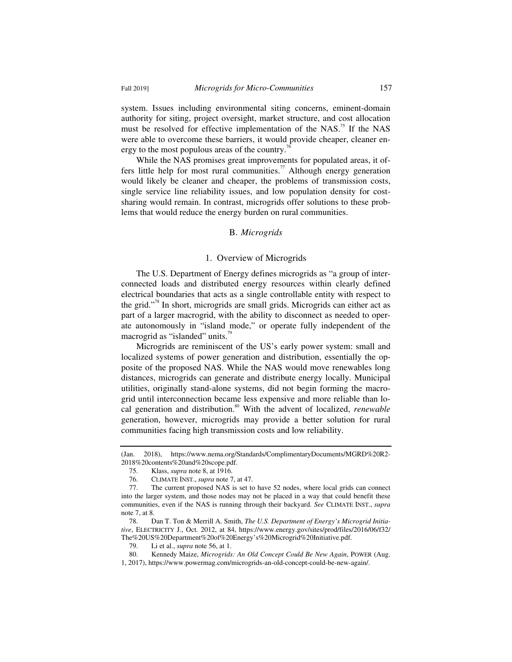system. Issues including environmental siting concerns, eminent-domain authority for siting, project oversight, market structure, and cost allocation must be resolved for effective implementation of the NAS.<sup>75</sup> If the NAS were able to overcome these barriers, it would provide cheaper, cleaner energy to the most populous areas of the country. $\pi$ 

While the NAS promises great improvements for populated areas, it offers little help for most rural communities.<sup>77</sup> Although energy generation would likely be cleaner and cheaper, the problems of transmission costs, single service line reliability issues, and low population density for costsharing would remain. In contrast, microgrids offer solutions to these problems that would reduce the energy burden on rural communities.

#### B. *Microgrids*

#### 1. Overview of Microgrids

The U.S. Department of Energy defines microgrids as "a group of interconnected loads and distributed energy resources within clearly defined electrical boundaries that acts as a single controllable entity with respect to the grid."78 In short, microgrids are small grids. Microgrids can either act as part of a larger macrogrid, with the ability to disconnect as needed to operate autonomously in "island mode," or operate fully independent of the macrogrid as "islanded" units.<sup>79</sup>

Microgrids are reminiscent of the US's early power system: small and localized systems of power generation and distribution, essentially the opposite of the proposed NAS. While the NAS would move renewables long distances, microgrids can generate and distribute energy locally. Municipal utilities, originally stand-alone systems, did not begin forming the macrogrid until interconnection became less expensive and more reliable than local generation and distribution.<sup>80</sup> With the advent of localized, *renewable* generation, however, microgrids may provide a better solution for rural communities facing high transmission costs and low reliability.

<sup>(</sup>Jan. 2018), https://www.nema.org/Standards/ComplimentaryDocuments/MGRD%20R2- 2018%20contents%20and%20scope.pdf.

 <sup>75.</sup> Klass, *supra* note 8, at 1916.

 <sup>76.</sup> CLIMATE INST., *supra* note 7, at 47.

 <sup>77.</sup> The current proposed NAS is set to have 52 nodes, where local grids can connect into the larger system, and those nodes may not be placed in a way that could benefit these communities, even if the NAS is running through their backyard. *See* CLIMATE INST., *supra*  note 7, at 8.

 <sup>78.</sup> Dan T. Ton & Merrill A. Smith, *The U.S. Department of Energy's Microgrid Initiative*, ELECTRICITY J., Oct. 2012, at 84, https://www.energy.gov/sites/prod/files/2016/06/f32/ The%20US%20Department%20of%20Energy's%20Microgrid%20Initiative.pdf.

 <sup>79.</sup> Li et al., *supra* note 56, at 1.

 <sup>80.</sup> Kennedy Maize, *Microgrids: An Old Concept Could Be New Again*, POWER (Aug. 1, 2017), https://www.powermag.com/microgrids-an-old-concept-could-be-new-again/.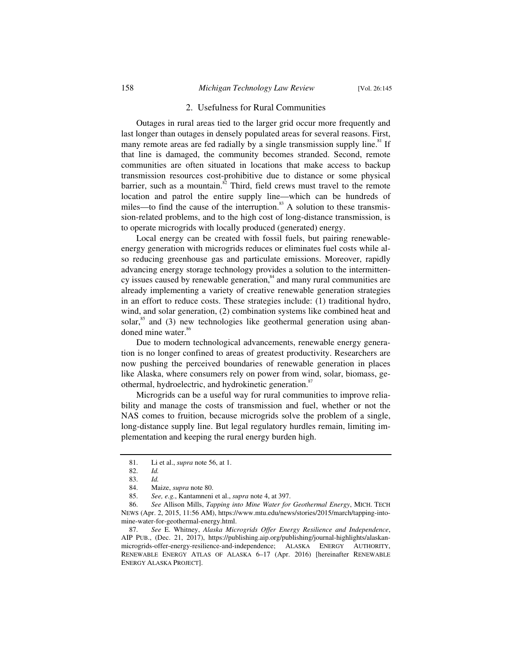#### 2. Usefulness for Rural Communities

Outages in rural areas tied to the larger grid occur more frequently and last longer than outages in densely populated areas for several reasons. First, many remote areas are fed radially by a single transmission supply line.<sup>81</sup> If that line is damaged, the community becomes stranded. Second, remote communities are often situated in locations that make access to backup transmission resources cost-prohibitive due to distance or some physical barrier, such as a mountain. $82$  Third, field crews must travel to the remote location and patrol the entire supply line—which can be hundreds of miles—to find the cause of the interruption. $83$  A solution to these transmission-related problems, and to the high cost of long-distance transmission, is to operate microgrids with locally produced (generated) energy.

Local energy can be created with fossil fuels, but pairing renewableenergy generation with microgrids reduces or eliminates fuel costs while also reducing greenhouse gas and particulate emissions. Moreover, rapidly advancing energy storage technology provides a solution to the intermittency issues caused by renewable generation, $\frac{84}{3}$  and many rural communities are already implementing a variety of creative renewable generation strategies in an effort to reduce costs. These strategies include: (1) traditional hydro, wind, and solar generation, (2) combination systems like combined heat and solar, ${}^{85}$  and (3) new technologies like geothermal generation using abandoned mine water.<sup>86</sup>

Due to modern technological advancements, renewable energy generation is no longer confined to areas of greatest productivity. Researchers are now pushing the perceived boundaries of renewable generation in places like Alaska, where consumers rely on power from wind, solar, biomass, geothermal, hydroelectric, and hydrokinetic generation.<sup>87</sup>

Microgrids can be a useful way for rural communities to improve reliability and manage the costs of transmission and fuel, whether or not the NAS comes to fruition, because microgrids solve the problem of a single, long-distance supply line. But legal regulatory hurdles remain, limiting implementation and keeping the rural energy burden high.

 <sup>81.</sup> Li et al., *supra* note 56, at 1.

 <sup>82.</sup> *Id.*

 <sup>83.</sup> *Id.*

 <sup>84.</sup> Maize, *supra* note 80.

 <sup>85.</sup> *See, e.g.*, Kantamneni et al., *supra* note 4, at 397.

 <sup>86.</sup> *See* Allison Mills, *Tapping into Mine Water for Geothermal Energy*, MICH. TECH NEWS (Apr. 2, 2015, 11:56 AM), https://www.mtu.edu/news/stories/2015/march/tapping-intomine-water-for-geothermal-energy.html.

 <sup>87.</sup> *See* E. Whitney, *Alaska Microgrids Offer Energy Resilience and Independence*, AIP PUB., (Dec. 21, 2017), https://publishing.aip.org/publishing/journal-highlights/alaskanmicrogrids-offer-energy-resilience-and-independence; ALASKA ENERGY AUTHORITY, RENEWABLE ENERGY ATLAS OF ALASKA 6–17 (Apr. 2016) [hereinafter RENEWABLE ENERGY ALASKA PROJECT].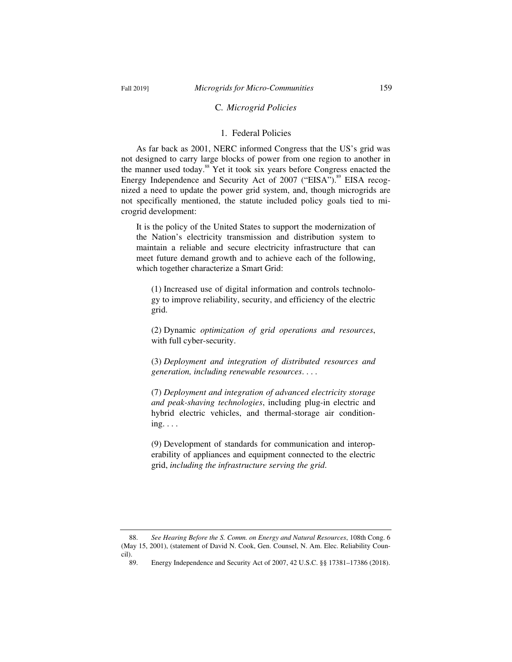# C*. Microgrid Policies*

# 1. Federal Policies

As far back as 2001, NERC informed Congress that the US's grid was not designed to carry large blocks of power from one region to another in the manner used today.<sup>88</sup> Yet it took six years before Congress enacted the Energy Independence and Security Act of 2007 ("EISA").<sup>89</sup> EISA recognized a need to update the power grid system, and, though microgrids are not specifically mentioned, the statute included policy goals tied to microgrid development:

It is the policy of the United States to support the modernization of the Nation's electricity transmission and distribution system to maintain a reliable and secure electricity infrastructure that can meet future demand growth and to achieve each of the following, which together characterize a Smart Grid:

(1) Increased use of digital information and controls technology to improve reliability, security, and efficiency of the electric grid.

(2) Dynamic *optimization of grid operations and resources*, with full cyber-security.

(3) *Deployment and integration of distributed resources and generation, including renewable resources*. . . .

(7) *Deployment and integration of advanced electricity storage and peak-shaving technologies*, including plug-in electric and hybrid electric vehicles, and thermal-storage air condition $ing. \ldots$ 

(9) Development of standards for communication and interoperability of appliances and equipment connected to the electric grid, *including the infrastructure serving the grid*.

 <sup>88.</sup> *See Hearing Before the S. Comm. on Energy and Natural Resources*, 108th Cong. 6 (May 15, 2001), (statement of David N. Cook, Gen. Counsel, N. Am. Elec. Reliability Council).

 <sup>89.</sup> Energy Independence and Security Act of 2007, 42 U.S.C. §§ 17381–17386 (2018).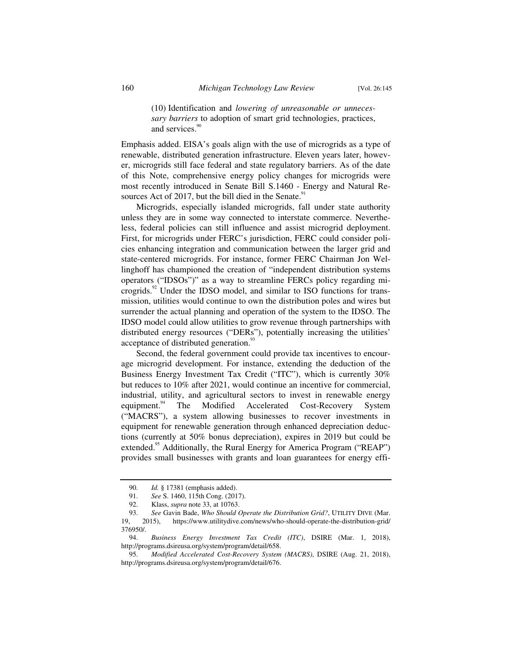(10) Identification and *lowering of unreasonable or unnecessary barriers* to adoption of smart grid technologies, practices, and services.<sup>90</sup>

Emphasis added. EISA's goals align with the use of microgrids as a type of renewable, distributed generation infrastructure. Eleven years later, however, microgrids still face federal and state regulatory barriers. As of the date of this Note, comprehensive energy policy changes for microgrids were most recently introduced in Senate Bill S.1460 - Energy and Natural Resources Act of 2017, but the bill died in the Senate. $91$ 

Microgrids, especially islanded microgrids, fall under state authority unless they are in some way connected to interstate commerce. Nevertheless, federal policies can still influence and assist microgrid deployment. First, for microgrids under FERC's jurisdiction, FERC could consider policies enhancing integration and communication between the larger grid and state-centered microgrids. For instance, former FERC Chairman Jon Wellinghoff has championed the creation of "independent distribution systems operators ("IDSOs")" as a way to streamline FERCs policy regarding microgrids.<sup>92</sup> Under the IDSO model, and similar to ISO functions for transmission, utilities would continue to own the distribution poles and wires but surrender the actual planning and operation of the system to the IDSO. The IDSO model could allow utilities to grow revenue through partnerships with distributed energy resources ("DERs"), potentially increasing the utilities' acceptance of distributed generation.<sup>93</sup>

Second, the federal government could provide tax incentives to encourage microgrid development. For instance, extending the deduction of the Business Energy Investment Tax Credit ("ITC"), which is currently 30% but reduces to 10% after 2021, would continue an incentive for commercial, industrial, utility, and agricultural sectors to invest in renewable energy equipment.<sup>94</sup> The Modified Accelerated Cost-Recovery System ("MACRS"), a system allowing businesses to recover investments in equipment for renewable generation through enhanced depreciation deductions (currently at 50% bonus depreciation), expires in 2019 but could be extended.<sup>95</sup> Additionally, the Rural Energy for America Program ("REAP") provides small businesses with grants and loan guarantees for energy effi-

 <sup>90.</sup> *Id.* § 17381 (emphasis added).

<sup>91.</sup> *See* S. 1460, 115th Cong. (2017).<br>92. Klass, *supra* note 33, at 10763.

 <sup>92.</sup> Klass, *supra* note 33, at 10763.

 <sup>93.</sup> *See* Gavin Bade, *Who Should Operate the Distribution Grid?*, UTILITY DIVE (Mar. 19, 2015), https://www.utilitydive.com/news/who-should-operate-the-distribution-grid/ 376950/.

 <sup>94.</sup> *Business Energy Investment Tax Credit (ITC)*, DSIRE (Mar. 1, 2018), http://programs.dsireusa.org/system/program/detail/658.

 <sup>95.</sup> *Modified Accelerated Cost-Recovery System (MACRS)*, DSIRE (Aug. 21, 2018), http://programs.dsireusa.org/system/program/detail/676.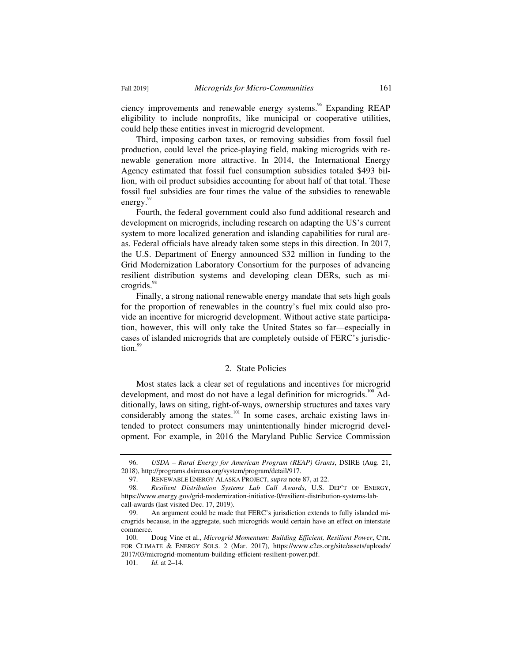ciency improvements and renewable energy systems.<sup>96</sup> Expanding REAP eligibility to include nonprofits, like municipal or cooperative utilities, could help these entities invest in microgrid development.

Third, imposing carbon taxes, or removing subsidies from fossil fuel production, could level the price-playing field, making microgrids with renewable generation more attractive. In 2014, the International Energy Agency estimated that fossil fuel consumption subsidies totaled \$493 billion, with oil product subsidies accounting for about half of that total. These fossil fuel subsidies are four times the value of the subsidies to renewable energy.<sup>97</sup>

Fourth, the federal government could also fund additional research and development on microgrids, including research on adapting the US's current system to more localized generation and islanding capabilities for rural areas. Federal officials have already taken some steps in this direction. In 2017, the U.S. Department of Energy announced \$32 million in funding to the Grid Modernization Laboratory Consortium for the purposes of advancing resilient distribution systems and developing clean DERs, such as microgrids. $98$ 

Finally, a strong national renewable energy mandate that sets high goals for the proportion of renewables in the country's fuel mix could also provide an incentive for microgrid development. Without active state participation, however, this will only take the United States so far—especially in cases of islanded microgrids that are completely outside of FERC's jurisdiction.

#### 2. State Policies

Most states lack a clear set of regulations and incentives for microgrid development, and most do not have a legal definition for microgrids.<sup>100</sup> Additionally, laws on siting, right-of-ways, ownership structures and taxes vary considerably among the states.<sup>101</sup> In some cases, archaic existing laws intended to protect consumers may unintentionally hinder microgrid development. For example, in 2016 the Maryland Public Service Commission

 <sup>96.</sup> *USDA – Rural Energy for American Program (REAP) Grants*, DSIRE (Aug. 21, 2018), http://programs.dsireusa.org/system/program/detail/917.

 <sup>97.</sup> RENEWABLE ENERGY ALASKA PROJECT, *supra* note 87, at 22.

 <sup>98.</sup> *Resilient Distribution Systems Lab Call Awards*, U.S. DEP'T OF ENERGY, https://www.energy.gov/grid-modernization-initiative-0/resilient-distribution-systems-labcall-awards (last visited Dec. 17, 2019).

 <sup>99.</sup> An argument could be made that FERC's jurisdiction extends to fully islanded microgrids because, in the aggregate, such microgrids would certain have an effect on interstate commerce.

 <sup>100.</sup> Doug Vine et al., *Microgrid Momentum: Building Efficient, Resilient Power*, CTR. FOR CLIMATE & ENERGY SOLS. 2 (Mar. 2017), https://www.c2es.org/site/assets/uploads/ 2017/03/microgrid-momentum-building-efficient-resilient-power.pdf.

 <sup>101.</sup> *Id.* at 2–14.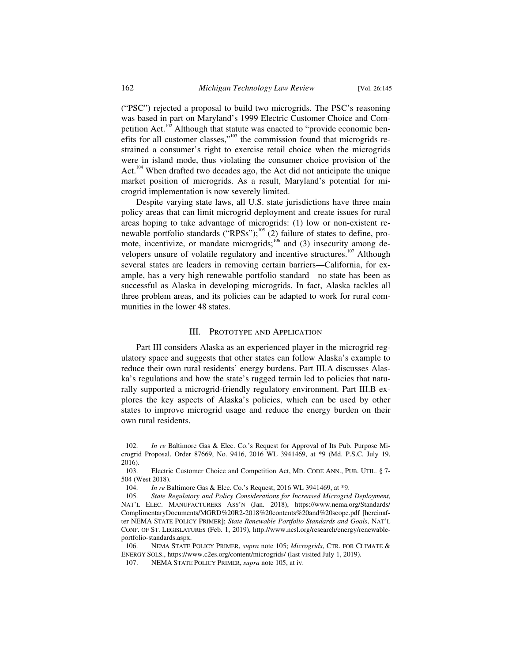("PSC") rejected a proposal to build two microgrids. The PSC's reasoning was based in part on Maryland's 1999 Electric Customer Choice and Competition Act.<sup>102</sup> Although that statute was enacted to "provide economic benefits for all customer classes," $^{103}$  the commission found that microgrids restrained a consumer's right to exercise retail choice when the microgrids were in island mode, thus violating the consumer choice provision of the Act.<sup>104</sup> When drafted two decades ago, the Act did not anticipate the unique market position of microgrids. As a result, Maryland's potential for microgrid implementation is now severely limited.

Despite varying state laws, all U.S. state jurisdictions have three main policy areas that can limit microgrid deployment and create issues for rural areas hoping to take advantage of microgrids: (1) low or non-existent renewable portfolio standards ("RPSs");<sup>105</sup> (2) failure of states to define, promote, incentivize, or mandate microgrids;<sup>106</sup> and (3) insecurity among developers unsure of volatile regulatory and incentive structures.<sup>107</sup> Although several states are leaders in removing certain barriers—California, for example, has a very high renewable portfolio standard—no state has been as successful as Alaska in developing microgrids. In fact, Alaska tackles all three problem areas, and its policies can be adapted to work for rural communities in the lower 48 states.

# III. PROTOTYPE AND APPLICATION

Part III considers Alaska as an experienced player in the microgrid regulatory space and suggests that other states can follow Alaska's example to reduce their own rural residents' energy burdens. Part III.A discusses Alaska's regulations and how the state's rugged terrain led to policies that naturally supported a microgrid-friendly regulatory environment. Part III.B explores the key aspects of Alaska's policies, which can be used by other states to improve microgrid usage and reduce the energy burden on their own rural residents.

 <sup>102.</sup> *In re* Baltimore Gas & Elec. Co.'s Request for Approval of Its Pub. Purpose Microgrid Proposal, Order 87669, No. 9416, 2016 WL 3941469, at \*9 (Md. P.S.C. July 19, 2016).

 <sup>103.</sup> Electric Customer Choice and Competition Act, MD. CODE ANN., PUB. UTIL. § 7- 504 (West 2018).

 <sup>104.</sup> *In re* Baltimore Gas & Elec. Co.'s Request, 2016 WL 3941469, at \*9.

 <sup>105.</sup> *State Regulatory and Policy Considerations for Increased Microgrid Deployment*, NAT'L ELEC. MANUFACTURERS ASS'N (Jan. 2018), https://www.nema.org/Standards/ ComplimentaryDocuments/MGRD%20R2-2018%20contents%20and%20scope.pdf [hereinafter NEMA STATE POLICY PRIMER]; *State Renewable Portfolio Standards and Goals*, NAT'L CONF. OF ST. LEGISLATURES (Feb. 1, 2019), http://www.ncsl.org/research/energy/renewableportfolio-standards.aspx.

 <sup>106.</sup> NEMA STATE POLICY PRIMER, *supra* note 105; *Microgrids*, CTR. FOR CLIMATE & ENERGY SOLS., https://www.c2es.org/content/microgrids/ (last visited July 1, 2019).

 <sup>107.</sup> NEMA STATE POLICY PRIMER, *supra* note 105, at iv.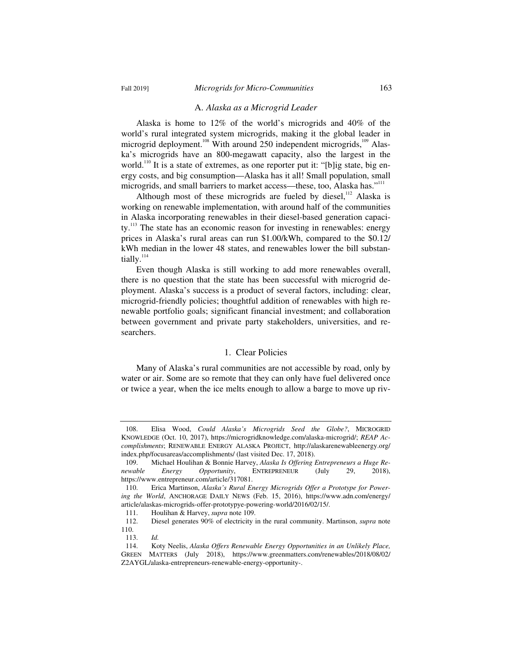#### A. *Alaska as a Microgrid Leader*

Alaska is home to 12% of the world's microgrids and 40% of the world's rural integrated system microgrids, making it the global leader in microgrid deployment.<sup>108</sup> With around 250 independent microgrids,<sup>109</sup> Alaska's microgrids have an 800-megawatt capacity, also the largest in the world.<sup>110</sup> It is a state of extremes, as one reporter put it: "[b]ig state, big energy costs, and big consumption—Alaska has it all! Small population, small microgrids, and small barriers to market access—these, too, Alaska has."<sup>111</sup>

Although most of these microgrids are fueled by diesel,  $112$  Alaska is working on renewable implementation, with around half of the communities in Alaska incorporating renewables in their diesel-based generation capacity.<sup>113</sup> The state has an economic reason for investing in renewables: energy prices in Alaska's rural areas can run \$1.00/kWh, compared to the \$0.12/ kWh median in the lower 48 states, and renewables lower the bill substantially.<sup>114</sup>

Even though Alaska is still working to add more renewables overall, there is no question that the state has been successful with microgrid deployment. Alaska's success is a product of several factors, including: clear, microgrid-friendly policies; thoughtful addition of renewables with high renewable portfolio goals; significant financial investment; and collaboration between government and private party stakeholders, universities, and researchers.

## 1. Clear Policies

Many of Alaska's rural communities are not accessible by road, only by water or air. Some are so remote that they can only have fuel delivered once or twice a year, when the ice melts enough to allow a barge to move up riv-

 <sup>108.</sup> Elisa Wood, *Could Alaska's Microgrids Seed the Globe?*, MICROGRID KNOWLEDGE (Oct. 10, 2017), https://microgridknowledge.com/alaska-microgrid/; *REAP Accomplishments*; RENEWABLE ENERGY ALASKA PROJECT, http://alaskarenewableenergy.org/ index.php/focusareas/accomplishments/ (last visited Dec. 17, 2018).

 <sup>109.</sup> Michael Houlihan & Bonnie Harvey, *Alaska Is Offering Entrepreneurs a Huge Renewable Energy Opportunity*, ENTREPRENEUR (July 29, 2018), https://www.entrepreneur.com/article/317081.

 <sup>110.</sup> Erica Martinson, *Alaska's Rural Energy Microgrids Offer a Prototype for Powering the World*, ANCHORAGE DAILY NEWS (Feb. 15, 2016), https://www.adn.com/energy/ article/alaskas-microgrids-offer-prototypye-powering-world/2016/02/15/.

 <sup>111.</sup> Houlihan & Harvey, *supra* note 109.

 <sup>112.</sup> Diesel generates 90% of electricity in the rural community. Martinson, *supra* note 110.

 <sup>113.</sup> *Id.*

 <sup>114.</sup> Koty Neelis, *Alaska Offers Renewable Energy Opportunities in an Unlikely Place,*  GREEN MATTERS (July 2018), https://www.greenmatters.com/renewables/2018/08/02/ Z2AYGL/alaska-entrepreneurs-renewable-energy-opportunity-.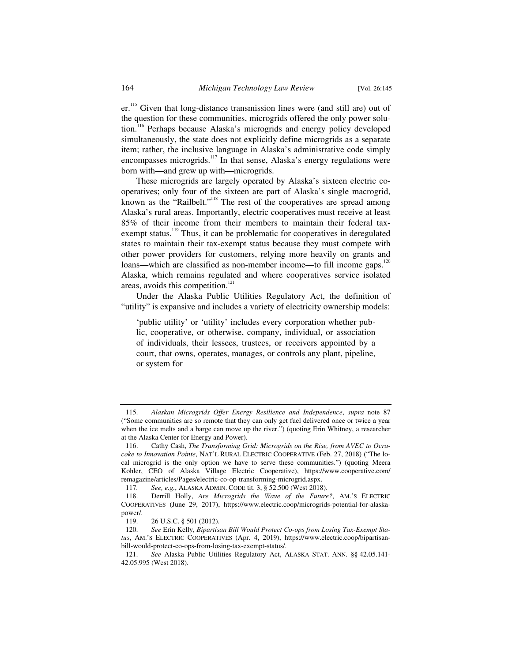er.<sup>115</sup> Given that long-distance transmission lines were (and still are) out of the question for these communities, microgrids offered the only power solution.116 Perhaps because Alaska's microgrids and energy policy developed simultaneously, the state does not explicitly define microgrids as a separate item; rather, the inclusive language in Alaska's administrative code simply encompasses microgrids.<sup>117</sup> In that sense, Alaska's energy regulations were born with—and grew up with—microgrids.

These microgrids are largely operated by Alaska's sixteen electric cooperatives; only four of the sixteen are part of Alaska's single macrogrid, known as the "Railbelt."<sup>118</sup> The rest of the cooperatives are spread among Alaska's rural areas. Importantly, electric cooperatives must receive at least 85% of their income from their members to maintain their federal taxexempt status.<sup>119</sup> Thus, it can be problematic for cooperatives in deregulated states to maintain their tax-exempt status because they must compete with other power providers for customers, relying more heavily on grants and loans—which are classified as non-member income—to fill income gaps.<sup>120</sup> Alaska, which remains regulated and where cooperatives service isolated areas, avoids this competition.<sup>121</sup>

Under the Alaska Public Utilities Regulatory Act, the definition of "utility" is expansive and includes a variety of electricity ownership models:

'public utility' or 'utility' includes every corporation whether public, cooperative, or otherwise, company, individual, or association of individuals, their lessees, trustees, or receivers appointed by a court, that owns, operates, manages, or controls any plant, pipeline, or system for

 <sup>115.</sup> *Alaskan Microgrids Offer Energy Resilience and Independence*, *supra* note 87 ("Some communities are so remote that they can only get fuel delivered once or twice a year when the ice melts and a barge can move up the river.") (quoting Erin Whitney, a researcher at the Alaska Center for Energy and Power).

 <sup>116.</sup> Cathy Cash, *The Transforming Grid: Microgrids on the Rise, from AVEC to Ocracoke to Innovation Pointe*, NAT'L RURAL ELECTRIC COOPERATIVE (Feb. 27, 2018) ("The local microgrid is the only option we have to serve these communities.") (quoting Meera Kohler, CEO of Alaska Village Electric Cooperative), https://www.cooperative.com/ remagazine/articles/Pages/electric-co-op-transforming-microgrid.aspx.

<sup>117</sup>*. See, e.g.*, ALASKA ADMIN. CODE tit. 3, § 52.500 (West 2018).

 <sup>118.</sup> Derrill Holly, *Are Microgrids the Wave of the Future?*, AM.'S ELECTRIC COOPERATIVES (June 29, 2017), https://www.electric.coop/microgrids-potential-for-alaskapower/.

 <sup>119. 26</sup> U.S.C. § 501 (2012).

 <sup>120.</sup> *See* Erin Kelly, *Bipartisan Bill Would Protect Co-ops from Losing Tax-Exempt Status*, AM.'S ELECTRIC COOPERATIVES (Apr. 4, 2019), https://www.electric.coop/bipartisanbill-would-protect-co-ops-from-losing-tax-exempt-status/.

 <sup>121.</sup> *See* Alaska Public Utilities Regulatory Act, ALASKA STAT. ANN. §§ 42.05.141- 42.05.995 (West 2018).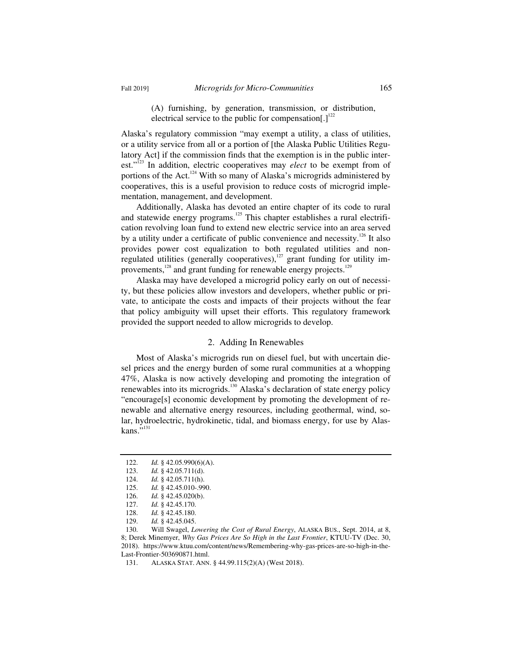(A) furnishing, by generation, transmission, or distribution, electrical service to the public for compensation[.]<sup>122</sup>

Alaska's regulatory commission "may exempt a utility, a class of utilities, or a utility service from all or a portion of [the Alaska Public Utilities Regulatory Act] if the commission finds that the exemption is in the public interest."123 In addition, electric cooperatives may *elect* to be exempt from of portions of the Act.<sup>124</sup> With so many of Alaska's microgrids administered by cooperatives, this is a useful provision to reduce costs of microgrid implementation, management, and development.

Additionally, Alaska has devoted an entire chapter of its code to rural and statewide energy programs.<sup>125</sup> This chapter establishes a rural electrification revolving loan fund to extend new electric service into an area served by a utility under a certificate of public convenience and necessity.<sup>126</sup> It also provides power cost equalization to both regulated utilities and nonregulated utilities (generally cooperatives),<sup>127</sup> grant funding for utility improvements, $128$  and grant funding for renewable energy projects.<sup>129</sup>

Alaska may have developed a microgrid policy early on out of necessity, but these policies allow investors and developers, whether public or private, to anticipate the costs and impacts of their projects without the fear that policy ambiguity will upset their efforts. This regulatory framework provided the support needed to allow microgrids to develop.

#### 2. Adding In Renewables

Most of Alaska's microgrids run on diesel fuel, but with uncertain diesel prices and the energy burden of some rural communities at a whopping 47%, Alaska is now actively developing and promoting the integration of renewables into its microgrids.<sup>130</sup> Alaska's declaration of state energy policy "encourage[s] economic development by promoting the development of renewable and alternative energy resources, including geothermal, wind, solar, hydroelectric, hydrokinetic, tidal, and biomass energy, for use by Alas $kans.$ <sup>5,131</sup>

 <sup>122.</sup> *Id.* § 42.05.990(6)(A).

 <sup>123.</sup> *Id.* § 42.05.711(d).

 <sup>124.</sup> *Id.* § 42.05.711(h).

 <sup>125.</sup> *Id.* § 42.45.010-.990.

 <sup>126.</sup> *Id.* § 42.45.020(b). 127. *Id.* § 42.45.170.

 <sup>128.</sup> *Id.* § 42.45.180.

 <sup>129.</sup> *Id.* § 42.45.045.

 <sup>130.</sup> Will Swagel, *Lowering the Cost of Rural Energy*, ALASKA BUS., Sept. 2014, at 8, 8; Derek Minemyer, *Why Gas Prices Are So High in the Last Frontier*, KTUU-TV (Dec. 30, 2018). https://www.ktuu.com/content/news/Remembering-why-gas-prices-are-so-high-in-the-Last-Frontier-503690871.html.

 <sup>131.</sup> ALASKA STAT. ANN. § 44.99.115(2)(A) (West 2018).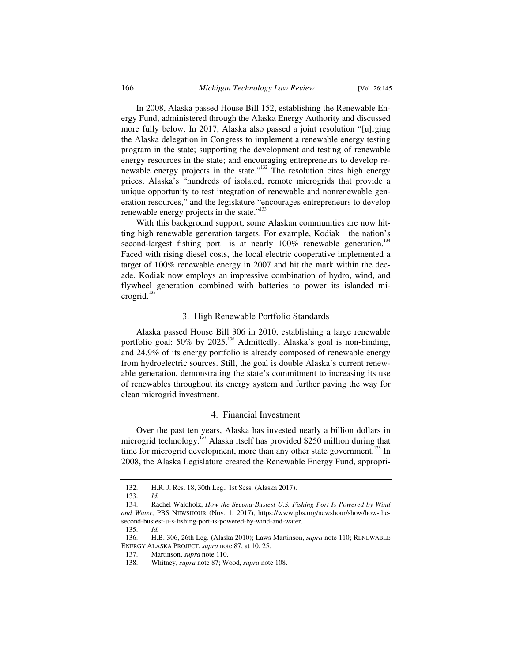In 2008, Alaska passed House Bill 152, establishing the Renewable Energy Fund, administered through the Alaska Energy Authority and discussed more fully below. In 2017, Alaska also passed a joint resolution "[u]rging the Alaska delegation in Congress to implement a renewable energy testing program in the state; supporting the development and testing of renewable energy resources in the state; and encouraging entrepreneurs to develop renewable energy projects in the state."<sup>132</sup> The resolution cites high energy prices, Alaska's "hundreds of isolated, remote microgrids that provide a unique opportunity to test integration of renewable and nonrenewable generation resources," and the legislature "encourages entrepreneurs to develop renewable energy projects in the state."<sup>133</sup>

With this background support, some Alaskan communities are now hitting high renewable generation targets. For example, Kodiak—the nation's second-largest fishing port—is at nearly 100% renewable generation.<sup>134</sup> Faced with rising diesel costs, the local electric cooperative implemented a target of 100% renewable energy in 2007 and hit the mark within the decade. Kodiak now employs an impressive combination of hydro, wind, and flywheel generation combined with batteries to power its islanded microgrid.<sup>135</sup>

#### 3. High Renewable Portfolio Standards

Alaska passed House Bill 306 in 2010, establishing a large renewable portfolio goal: 50% by 2025.<sup>136</sup> Admittedly, Alaska's goal is non-binding, and 24.9% of its energy portfolio is already composed of renewable energy from hydroelectric sources. Still, the goal is double Alaska's current renewable generation, demonstrating the state's commitment to increasing its use of renewables throughout its energy system and further paving the way for clean microgrid investment.

#### 4. Financial Investment

Over the past ten years, Alaska has invested nearly a billion dollars in microgrid technology.<sup>137</sup> Alaska itself has provided \$250 million during that time for microgrid development, more than any other state government.<sup>138</sup> In 2008, the Alaska Legislature created the Renewable Energy Fund, appropri-

 <sup>132.</sup> H.R. J. Res. 18, 30th Leg., 1st Sess. (Alaska 2017).

 <sup>133.</sup> *Id.*

 <sup>134.</sup> Rachel Waldholz, *How the Second-Busiest U.S. Fishing Port Is Powered by Wind and Water*, PBS NEWSHOUR (Nov. 1, 2017), https://www.pbs.org/newshour/show/how-thesecond-busiest-u-s-fishing-port-is-powered-by-wind-and-water.

 <sup>135.</sup> *Id.*

 <sup>136.</sup> H.B. 306, 26th Leg. (Alaska 2010); Laws Martinson, *supra* note 110; RENEWABLE ENERGY ALASKA PROJECT, *supra* note 87, at 10, 25.

 <sup>137.</sup> Martinson, *supra* note 110.

 <sup>138.</sup> Whitney, *supra* note 87; Wood, *supra* note 108.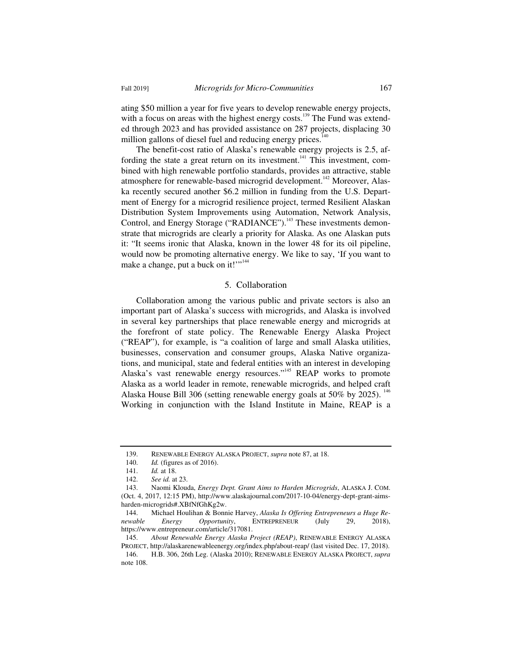ating \$50 million a year for five years to develop renewable energy projects, with a focus on areas with the highest energy costs.<sup>139</sup> The Fund was extended through 2023 and has provided assistance on 287 projects, displacing 30 million gallons of diesel fuel and reducing energy prices. $1/2$ 

The benefit-cost ratio of Alaska's renewable energy projects is 2.5, affording the state a great return on its investment.<sup>141</sup> This investment, combined with high renewable portfolio standards, provides an attractive, stable atmosphere for renewable-based microgrid development.<sup>142</sup> Moreover, Alaska recently secured another \$6.2 million in funding from the U.S. Department of Energy for a microgrid resilience project, termed Resilient Alaskan Distribution System Improvements using Automation, Network Analysis, Control, and Energy Storage ("RADIANCE").<sup>143</sup> These investments demonstrate that microgrids are clearly a priority for Alaska. As one Alaskan puts it: "It seems ironic that Alaska, known in the lower 48 for its oil pipeline, would now be promoting alternative energy. We like to say, 'If you want to make a change, put a buck on it!""<sup>144</sup>

## 5. Collaboration

Collaboration among the various public and private sectors is also an important part of Alaska's success with microgrids, and Alaska is involved in several key partnerships that place renewable energy and microgrids at the forefront of state policy. The Renewable Energy Alaska Project ("REAP"), for example, is "a coalition of large and small Alaska utilities, businesses, conservation and consumer groups, Alaska Native organizations, and municipal, state and federal entities with an interest in developing Alaska's vast renewable energy resources."<sup>145</sup> REAP works to promote Alaska as a world leader in remote, renewable microgrids, and helped craft Alaska House Bill 306 (setting renewable energy goals at 50% by 2025).  $^{146}$ Working in conjunction with the Island Institute in Maine, REAP is a

 <sup>139.</sup> RENEWABLE ENERGY ALASKA PROJECT, *supra* note 87, at 18.

 <sup>140.</sup> *Id.* (figures as of 2016).

 <sup>141.</sup> *Id.* at 18.

 <sup>142.</sup> *See id.* at 23.

 <sup>143.</sup> Naomi Klouda, *Energy Dept. Grant Aims to Harden Microgrids*, ALASKA J. COM. (Oct. 4, 2017, 12:15 PM), http://www.alaskajournal.com/2017-10-04/energy-dept-grant-aimsharden-microgrids#.XBfNfGhKg2w.

 <sup>144.</sup> Michael Houlihan & Bonnie Harvey, *Alaska Is Offering Entrepreneurs a Huge Renewable Energy Opportunity*, ENTREPRENEUR (July 29, 2018), https://www.entrepreneur.com/article/317081.

 <sup>145.</sup> *About Renewable Energy Alaska Project (REAP)*, RENEWABLE ENERGY ALASKA PROJECT, http://alaskarenewableenergy.org/index.php/about-reap/ (last visited Dec. 17, 2018).

 <sup>146.</sup> H.B. 306, 26th Leg. (Alaska 2010); RENEWABLE ENERGY ALASKA PROJECT, *supra*  note 108.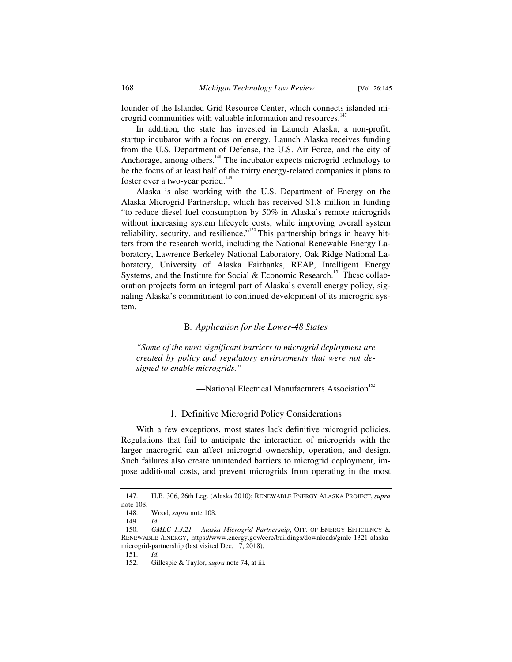founder of the Islanded Grid Resource Center, which connects islanded microgrid communities with valuable information and resources.<sup>147</sup>

In addition, the state has invested in Launch Alaska, a non-profit, startup incubator with a focus on energy. Launch Alaska receives funding from the U.S. Department of Defense, the U.S. Air Force, and the city of Anchorage, among others.<sup>148</sup> The incubator expects microgrid technology to be the focus of at least half of the thirty energy-related companies it plans to foster over a two-year period.<sup>149</sup>

Alaska is also working with the U.S. Department of Energy on the Alaska Microgrid Partnership, which has received \$1.8 million in funding "to reduce diesel fuel consumption by 50% in Alaska's remote microgrids without increasing system lifecycle costs, while improving overall system reliability, security, and resilience."<sup>150</sup> This partnership brings in heavy hitters from the research world, including the National Renewable Energy Laboratory, Lawrence Berkeley National Laboratory, Oak Ridge National Laboratory, University of Alaska Fairbanks, REAP, Intelligent Energy Systems, and the Institute for Social  $\&$  Economic Research.<sup>151</sup> These collaboration projects form an integral part of Alaska's overall energy policy, signaling Alaska's commitment to continued development of its microgrid system.

#### B*. Application for the Lower-48 States*

*"Some of the most significant barriers to microgrid deployment are created by policy and regulatory environments that were not designed to enable microgrids."* 

-National Electrical Manufacturers Association<sup>152</sup>

#### 1. Definitive Microgrid Policy Considerations

With a few exceptions, most states lack definitive microgrid policies. Regulations that fail to anticipate the interaction of microgrids with the larger macrogrid can affect microgrid ownership, operation, and design. Such failures also create unintended barriers to microgrid deployment, impose additional costs, and prevent microgrids from operating in the most

 <sup>147.</sup> H.B. 306, 26th Leg. (Alaska 2010); RENEWABLE ENERGY ALASKA PROJECT, *supra*  note 108.

 <sup>148.</sup> Wood, *supra* note 108.

 <sup>149.</sup> *Id.*

<sup>150.</sup> *GMLC 1.3.21 - Alaska Microgrid Partnership*, OFF. OF ENERGY EFFICIENCY & RENEWABLE /ENERGY, https://www.energy.gov/eere/buildings/downloads/gmlc-1321-alaskamicrogrid-partnership (last visited Dec. 17, 2018).

 <sup>151.</sup> *Id.*

 <sup>152.</sup> Gillespie & Taylor, *supra* note 74, at iii.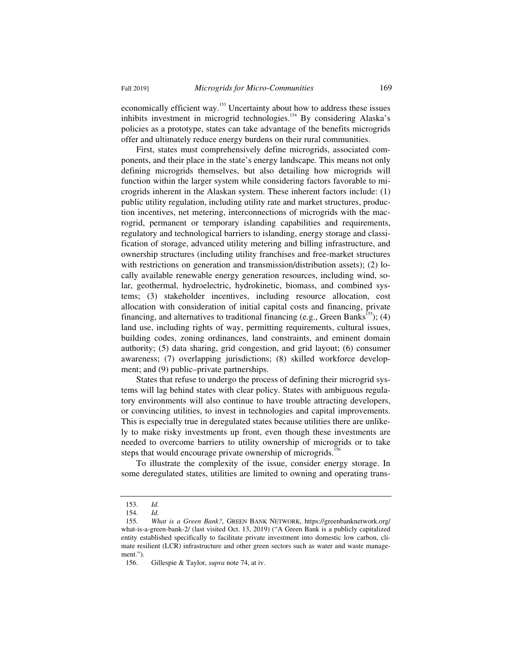economically efficient way.153 Uncertainty about how to address these issues inhibits investment in microgrid technologies.<sup>154</sup> By considering Alaska's policies as a prototype, states can take advantage of the benefits microgrids offer and ultimately reduce energy burdens on their rural communities.

First, states must comprehensively define microgrids, associated components, and their place in the state's energy landscape. This means not only defining microgrids themselves, but also detailing how microgrids will function within the larger system while considering factors favorable to microgrids inherent in the Alaskan system. These inherent factors include: (1) public utility regulation, including utility rate and market structures, production incentives, net metering, interconnections of microgrids with the macrogrid, permanent or temporary islanding capabilities and requirements, regulatory and technological barriers to islanding, energy storage and classification of storage, advanced utility metering and billing infrastructure, and ownership structures (including utility franchises and free-market structures with restrictions on generation and transmission/distribution assets); (2) locally available renewable energy generation resources, including wind, solar, geothermal, hydroelectric, hydrokinetic, biomass, and combined systems; (3) stakeholder incentives, including resource allocation, cost allocation with consideration of initial capital costs and financing, private financing, and alternatives to traditional financing (e.g., Green Banks<sup>155</sup>); (4) land use, including rights of way, permitting requirements, cultural issues, building codes, zoning ordinances, land constraints, and eminent domain authority; (5) data sharing, grid congestion, and grid layout; (6) consumer awareness; (7) overlapping jurisdictions; (8) skilled workforce development; and (9) public–private partnerships.

States that refuse to undergo the process of defining their microgrid systems will lag behind states with clear policy. States with ambiguous regulatory environments will also continue to have trouble attracting developers, or convincing utilities, to invest in technologies and capital improvements. This is especially true in deregulated states because utilities there are unlikely to make risky investments up front, even though these investments are needed to overcome barriers to utility ownership of microgrids or to take steps that would encourage private ownership of microgrids.<sup>15</sup>

To illustrate the complexity of the issue, consider energy storage. In some deregulated states, utilities are limited to owning and operating trans-

 <sup>153.</sup> *Id.*

 <sup>154.</sup> *Id.*

<sup>155</sup>*. What is a Green Bank?*, GREEN BANK NETWORK, https://greenbanknetwork.org/ what-is-a-green-bank-2/ (last visited Oct. 13, 2019) ("A Green Bank is a publicly capitalized entity established specifically to facilitate private investment into domestic low carbon, climate resilient (LCR) infrastructure and other green sectors such as water and waste management.").

 <sup>156.</sup> Gillespie & Taylor, *supra* note 74, at iv.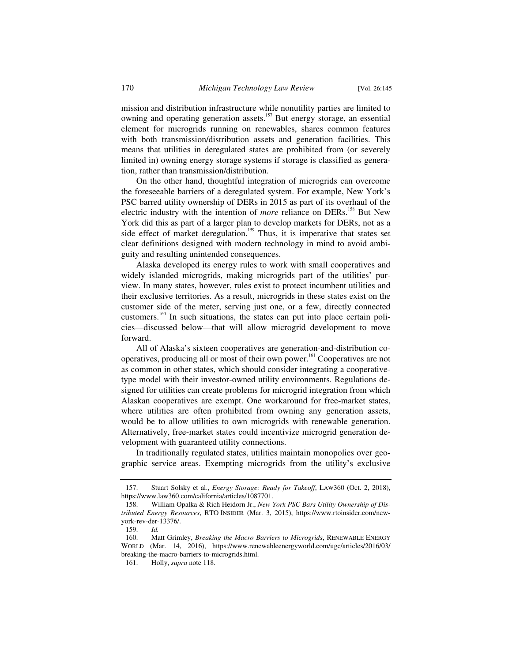mission and distribution infrastructure while nonutility parties are limited to owning and operating generation assets.<sup>157</sup> But energy storage, an essential element for microgrids running on renewables, shares common features with both transmission/distribution assets and generation facilities. This means that utilities in deregulated states are prohibited from (or severely limited in) owning energy storage systems if storage is classified as generation, rather than transmission/distribution.

On the other hand, thoughtful integration of microgrids can overcome the foreseeable barriers of a deregulated system. For example, New York's PSC barred utility ownership of DERs in 2015 as part of its overhaul of the electric industry with the intention of *more* reliance on DERs.<sup>158</sup> But New York did this as part of a larger plan to develop markets for DERs, not as a side effect of market deregulation.<sup>159</sup> Thus, it is imperative that states set clear definitions designed with modern technology in mind to avoid ambiguity and resulting unintended consequences.

Alaska developed its energy rules to work with small cooperatives and widely islanded microgrids, making microgrids part of the utilities' purview. In many states, however, rules exist to protect incumbent utilities and their exclusive territories. As a result, microgrids in these states exist on the customer side of the meter, serving just one, or a few, directly connected customers.<sup>160</sup> In such situations, the states can put into place certain policies—discussed below—that will allow microgrid development to move forward.

All of Alaska's sixteen cooperatives are generation-and-distribution cooperatives, producing all or most of their own power.<sup>161</sup> Cooperatives are not as common in other states, which should consider integrating a cooperativetype model with their investor-owned utility environments. Regulations designed for utilities can create problems for microgrid integration from which Alaskan cooperatives are exempt. One workaround for free-market states, where utilities are often prohibited from owning any generation assets, would be to allow utilities to own microgrids with renewable generation. Alternatively, free-market states could incentivize microgrid generation development with guaranteed utility connections.

In traditionally regulated states, utilities maintain monopolies over geographic service areas. Exempting microgrids from the utility's exclusive

 <sup>157.</sup> Stuart Solsky et al., *Energy Storage: Ready for Takeoff*, LAW360 (Oct. 2, 2018), https://www.law360.com/california/articles/1087701.

 <sup>158.</sup> William Opalka & Rich Heidorn Jr., *New York PSC Bars Utility Ownership of Distributed Energy Resources*, RTO INSIDER (Mar. 3, 2015), https://www.rtoinsider.com/newyork-rev-der-13376/.

 <sup>159.</sup> *Id.*

 <sup>160.</sup> Matt Grimley, *Breaking the Macro Barriers to Microgrids*, RENEWABLE ENERGY WORLD (Mar. 14, 2016), https://www.renewableenergyworld.com/ugc/articles/2016/03/ breaking-the-macro-barriers-to-microgrids.html.

 <sup>161.</sup> Holly, *supra* note 118.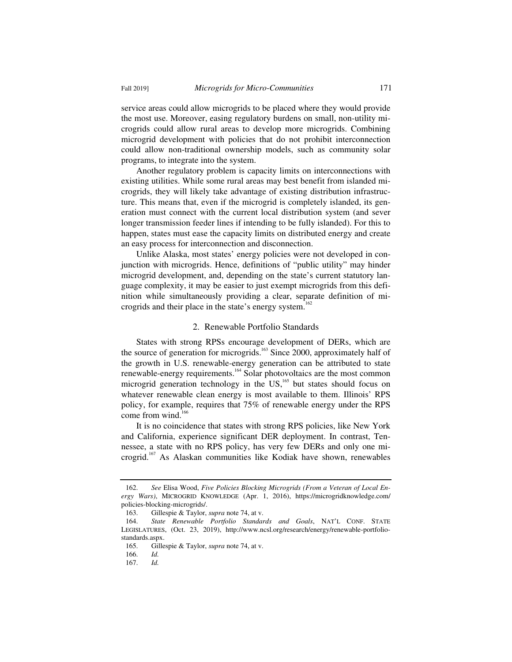service areas could allow microgrids to be placed where they would provide the most use. Moreover, easing regulatory burdens on small, non-utility microgrids could allow rural areas to develop more microgrids. Combining microgrid development with policies that do not prohibit interconnection could allow non-traditional ownership models, such as community solar programs, to integrate into the system.

Another regulatory problem is capacity limits on interconnections with existing utilities. While some rural areas may best benefit from islanded microgrids, they will likely take advantage of existing distribution infrastructure. This means that, even if the microgrid is completely islanded, its generation must connect with the current local distribution system (and sever longer transmission feeder lines if intending to be fully islanded). For this to happen, states must ease the capacity limits on distributed energy and create an easy process for interconnection and disconnection.

Unlike Alaska, most states' energy policies were not developed in conjunction with microgrids. Hence, definitions of "public utility" may hinder microgrid development, and, depending on the state's current statutory language complexity, it may be easier to just exempt microgrids from this definition while simultaneously providing a clear, separate definition of microgrids and their place in the state's energy system.<sup>162</sup>

#### 2. Renewable Portfolio Standards

States with strong RPSs encourage development of DERs, which are the source of generation for microgrids.<sup>163</sup> Since 2000, approximately half of the growth in U.S. renewable-energy generation can be attributed to state renewable-energy requirements.164 Solar photovoltaics are the most common microgrid generation technology in the US,<sup>165</sup> but states should focus on whatever renewable clean energy is most available to them. Illinois' RPS policy, for example, requires that 75% of renewable energy under the RPS come from wind.<sup>166</sup>

It is no coincidence that states with strong RPS policies, like New York and California, experience significant DER deployment. In contrast, Tennessee, a state with no RPS policy, has very few DERs and only one microgrid.167 As Alaskan communities like Kodiak have shown, renewables

 <sup>162.</sup> *See* Elisa Wood, *Five Policies Blocking Microgrids (From a Veteran of Local Energy Wars)*, MICROGRID KNOWLEDGE (Apr. 1, 2016), https://microgridknowledge.com/ policies-blocking-microgrids/.

 <sup>163.</sup> Gillespie & Taylor, *supra* note 74, at v.

 <sup>164.</sup> *State Renewable Portfolio Standards and Goals*, NAT'L CONF. STATE LEGISLATURES, (Oct. 23, 2019), http://www.ncsl.org/research/energy/renewable-portfoliostandards.aspx.

 <sup>165.</sup> Gillespie & Taylor, *supra* note 74, at v.

 <sup>166.</sup> *Id.*

 <sup>167.</sup> *Id.*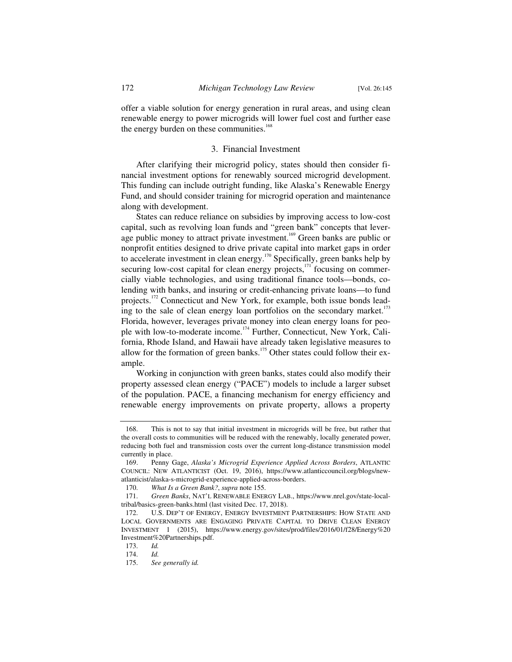offer a viable solution for energy generation in rural areas, and using clean renewable energy to power microgrids will lower fuel cost and further ease the energy burden on these communities.<sup>168</sup>

#### 3. Financial Investment

After clarifying their microgrid policy, states should then consider financial investment options for renewably sourced microgrid development. This funding can include outright funding, like Alaska's Renewable Energy Fund, and should consider training for microgrid operation and maintenance along with development.

States can reduce reliance on subsidies by improving access to low-cost capital, such as revolving loan funds and "green bank" concepts that leverage public money to attract private investment.<sup>169</sup> Green banks are public or nonprofit entities designed to drive private capital into market gaps in order to accelerate investment in clean energy.<sup>170</sup> Specifically, green banks help by securing low-cost capital for clean energy projects, $171$  focusing on commercially viable technologies, and using traditional finance tools—bonds, colending with banks, and insuring or credit-enhancing private loans—to fund projects.<sup>172</sup> Connecticut and New York, for example, both issue bonds leading to the sale of clean energy loan portfolios on the secondary market.<sup>173</sup> Florida, however, leverages private money into clean energy loans for people with low-to-moderate income.174 Further, Connecticut, New York, California, Rhode Island, and Hawaii have already taken legislative measures to allow for the formation of green banks.<sup>175</sup> Other states could follow their example.

Working in conjunction with green banks, states could also modify their property assessed clean energy ("PACE") models to include a larger subset of the population. PACE, a financing mechanism for energy efficiency and renewable energy improvements on private property, allows a property

 <sup>168.</sup> This is not to say that initial investment in microgrids will be free, but rather that the overall costs to communities will be reduced with the renewably, locally generated power, reducing both fuel and transmission costs over the current long-distance transmission model currently in place.

 <sup>169.</sup> Penny Gage, *Alaska's Microgrid Experience Applied Across Borders*, ATLANTIC COUNCIL: NEW ATLANTICIST (Oct. 19, 2016), https://www.atlanticcouncil.org/blogs/newatlanticist/alaska-s-microgrid-experience-applied-across-borders.

 <sup>170.</sup> *What Is a Green Bank?*, *supra* note 155.

 <sup>171.</sup> *Green Banks*, NAT'L RENEWABLE ENERGY LAB., https://www.nrel.gov/state-localtribal/basics-green-banks.html (last visited Dec. 17, 2018).

 <sup>172.</sup> U.S. DEP'T OF ENERGY, ENERGY INVESTMENT PARTNERSHIPS: HOW STATE AND LOCAL GOVERNMENTS ARE ENGAGING PRIVATE CAPITAL TO DRIVE CLEAN ENERGY INVESTMENT 1 (2015), https://www.energy.gov/sites/prod/files/2016/01/f28/Energy%20 Investment%20Partnerships.pdf.

 <sup>173.</sup> *Id.*

 <sup>174.</sup> *Id.*

 <sup>175.</sup> *See generally id.*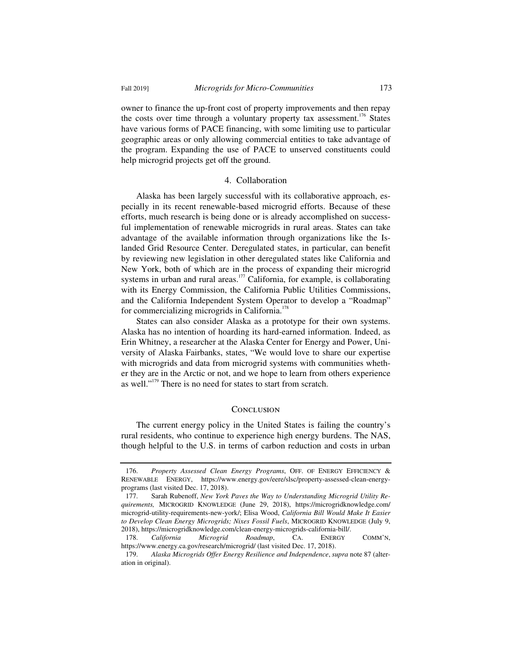owner to finance the up-front cost of property improvements and then repay the costs over time through a voluntary property tax assessment.<sup>176</sup> States have various forms of PACE financing, with some limiting use to particular geographic areas or only allowing commercial entities to take advantage of the program. Expanding the use of PACE to unserved constituents could help microgrid projects get off the ground.

#### 4. Collaboration

Alaska has been largely successful with its collaborative approach, especially in its recent renewable-based microgrid efforts. Because of these efforts, much research is being done or is already accomplished on successful implementation of renewable microgrids in rural areas. States can take advantage of the available information through organizations like the Islanded Grid Resource Center. Deregulated states, in particular, can benefit by reviewing new legislation in other deregulated states like California and New York, both of which are in the process of expanding their microgrid systems in urban and rural areas.<sup>177</sup> California, for example, is collaborating with its Energy Commission, the California Public Utilities Commissions, and the California Independent System Operator to develop a "Roadmap" for commercializing microgrids in California.<sup>178</sup>

States can also consider Alaska as a prototype for their own systems. Alaska has no intention of hoarding its hard-earned information. Indeed, as Erin Whitney, a researcher at the Alaska Center for Energy and Power, University of Alaska Fairbanks, states, "We would love to share our expertise with microgrids and data from microgrid systems with communities whether they are in the Arctic or not, and we hope to learn from others experience as well."<sup>179</sup> There is no need for states to start from scratch.

#### **CONCLUSION**

The current energy policy in the United States is failing the country's rural residents, who continue to experience high energy burdens. The NAS, though helpful to the U.S. in terms of carbon reduction and costs in urban

 <sup>176.</sup> *Property Assessed Clean Energy Programs*, OFF. OF ENERGY EFFICIENCY & RENEWABLE ENERGY, https://www.energy.gov/eere/slsc/property-assessed-clean-energyprograms (last visited Dec. 17, 2018).

 <sup>177.</sup> Sarah Rubenoff, *New York Paves the Way to Understanding Microgrid Utility Requirements,* MICROGRID KNOWLEDGE (June 29, 2018), https://microgridknowledge.com/ microgrid-utility-requirements-new-york/; Elisa Wood, *California Bill Would Make It Easier to Develop Clean Energy Microgrids; Nixes Fossil Fuels*, MICROGRID KNOWLEDGE (July 9, 2018), https://microgridknowledge.com/clean-energy-microgrids-california-bill/.

 <sup>178.</sup> *California Microgrid Roadmap*, CA. ENERGY COMM'N, https://www.energy.ca.gov/research/microgrid/ (last visited Dec. 17, 2018).

 <sup>179.</sup> *Alaska Microgrids Offer Energy Resilience and Independence*, *supra* note 87 (alteration in original).